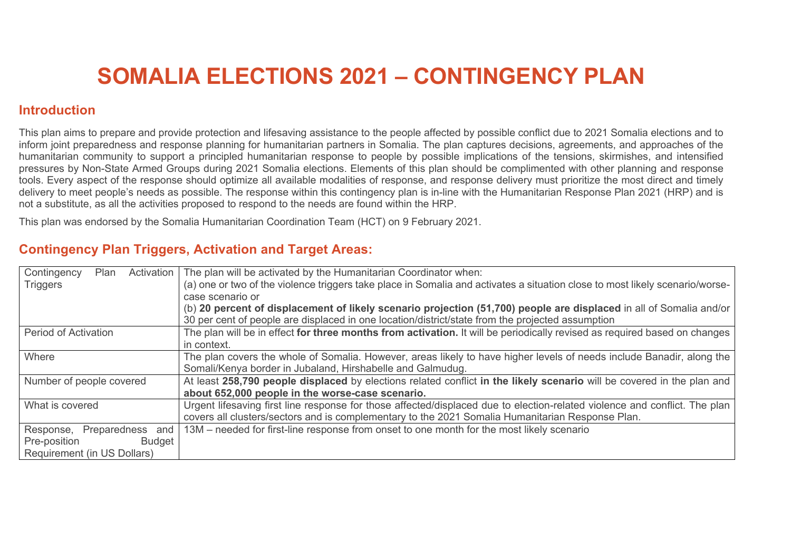# **SOMALIA ELECTIONS 2021 – CONTINGENCY PLAN**

## **Introduction**

This plan aims to prepare and provide protection and lifesaving assistance to the people affected by possible conflict due to 2021 Somalia elections and to inform joint preparedness and response planning for humanitarian partners in Somalia. The plan captures decisions, agreements, and approaches of the humanitarian community to support a principled humanitarian response to people by possible implications of the tensions, skirmishes, and intensified pressures by Non-State Armed Groups during 2021 Somalia elections. Elements of this plan should be complimented with other planning and response tools. Every aspect of the response should optimize all available modalities of response, and response delivery must prioritize the most direct and timely delivery to meet people's needs as possible. The response within this contingency plan is in-line with the Humanitarian Response Plan 2021 (HRP) and is not a substitute, as all the activities proposed to respond to the needs are found within the HRP.

This plan was endorsed by the Somalia Humanitarian Coordination Team (HCT) on 9 February 2021.

## **Contingency Plan Triggers, Activation and Target Areas:**

| Contingency<br>Activation<br>Plan | The plan will be activated by the Humanitarian Coordinator when:                                                                                                                                                               |
|-----------------------------------|--------------------------------------------------------------------------------------------------------------------------------------------------------------------------------------------------------------------------------|
| <b>Triggers</b>                   | (a) one or two of the violence triggers take place in Somalia and activates a situation close to most likely scenario/worse-<br>case scenario or                                                                               |
|                                   | (b) 20 percent of displacement of likely scenario projection (51,700) people are displaced in all of Somalia and/or<br>30 per cent of people are displaced in one location/district/state from the projected assumption        |
| <b>Period of Activation</b>       | The plan will be in effect for three months from activation. It will be periodically revised as required based on changes<br>in context.                                                                                       |
| Where                             | The plan covers the whole of Somalia. However, areas likely to have higher levels of needs include Banadir, along the<br>Somali/Kenya border in Jubaland, Hirshabelle and Galmudug.                                            |
| Number of people covered          | At least 258,790 people displaced by elections related conflict in the likely scenario will be covered in the plan and<br>about 652,000 people in the worse-case scenario.                                                     |
| What is covered                   | Urgent lifesaving first line response for those affected/displaced due to election-related violence and conflict. The plan<br>covers all clusters/sectors and is complementary to the 2021 Somalia Humanitarian Response Plan. |
| Response, Preparedness and        | 13M – needed for first-line response from onset to one month for the most likely scenario                                                                                                                                      |
| Pre-position<br><b>Budget</b>     |                                                                                                                                                                                                                                |
| Requirement (in US Dollars)       |                                                                                                                                                                                                                                |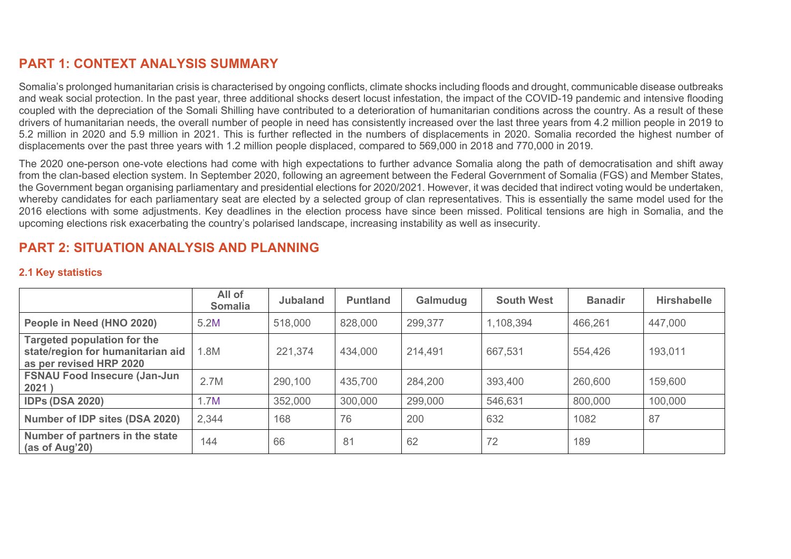# **PART 1: CONTEXT ANALYSIS SUMMARY**

Somalia's prolonged humanitarian crisis is characterised by ongoing conflicts, climate shocks including floods and drought, communicable disease outbreaks and weak social protection. In the past year, three additional shocks desert locust infestation, the impact of the COVID-19 pandemic and intensive flooding coupled with the depreciation of the Somali Shilling have contributed to a deterioration of humanitarian conditions across the country. As a result of these drivers of humanitarian needs, the overall number of people in need has consistently increased over the last three years from 4.2 million people in 2019 to 5.2 million in 2020 and 5.9 million in 2021. This is further reflected in the numbers of displacements in 2020. Somalia recorded the highest number of displacements over the past three years with 1.2 million people displaced, compared to 569,000 in 2018 and 770,000 in 2019.

The 2020 one-person one-vote elections had come with high expectations to further advance Somalia along the path of democratisation and shift away from the clan-based election system. In September 2020, following an agreement between the Federal Government of Somalia (FGS) and Member States, the Government began organising parliamentary and presidential elections for 2020/2021. However, it was decided that indirect voting would be undertaken, whereby candidates for each parliamentary seat are elected by a selected group of clan representatives. This is essentially the same model used for the 2016 elections with some adjustments. Key deadlines in the election process have since been missed. Political tensions are high in Somalia, and the upcoming elections risk exacerbating the country's polarised landscape, increasing instability as well as insecurity.

# **PART 2: SITUATION ANALYSIS AND PLANNING**

## **2.1 Key statistics**

|                                                                                                    | All of<br><b>Somalia</b> | <b>Jubaland</b> | <b>Puntland</b> | Galmudug | <b>South West</b> | <b>Banadir</b> | <b>Hirshabelle</b> |
|----------------------------------------------------------------------------------------------------|--------------------------|-----------------|-----------------|----------|-------------------|----------------|--------------------|
| People in Need (HNO 2020)                                                                          | 5.2M                     | 518,000         | 828,000         | 299,377  | 1,108,394         | 466,261        | 447,000            |
| <b>Targeted population for the</b><br>state/region for humanitarian aid<br>as per revised HRP 2020 | .8M                      | 221,374         | 434,000         | 214,491  | 667,531           | 554,426        | 193,011            |
| <b>FSNAU Food Insecure (Jan-Jun</b><br>2021)                                                       | 2.7M                     | 290,100         | 435,700         | 284,200  | 393,400           | 260,600        | 159,600            |
| <b>IDPs (DSA 2020)</b>                                                                             | 1.7M                     | 352,000         | 300,000         | 299,000  | 546,631           | 800,000        | 100,000            |
| Number of IDP sites (DSA 2020)                                                                     | 2,344                    | 168             | 76              | 200      | 632               | 1082           | 87                 |
| Number of partners in the state<br>(as of Aug'20)                                                  | 144                      | 66              | 81              | 62       | 72                | 189            |                    |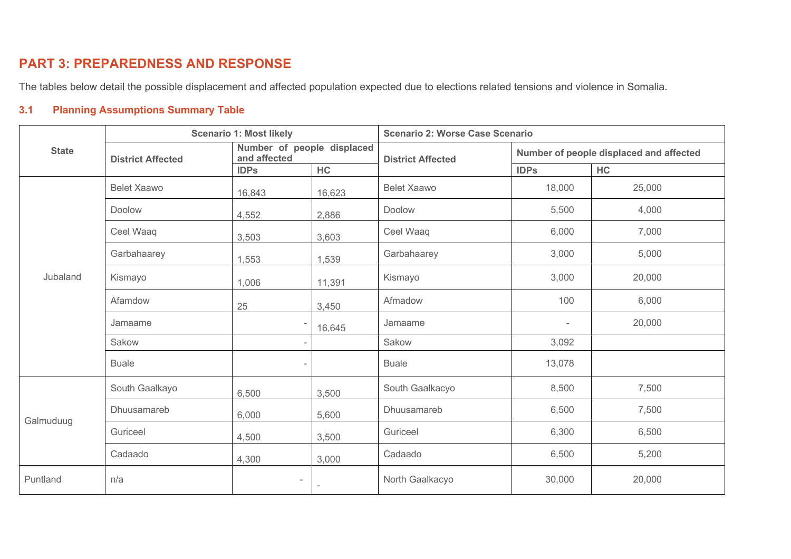# **PART 3: PREPAREDNESS AND RESPONSE**

The tables below detail the possible displacement and affected population expected due to elections related tensions and violence in Somalia.

## **3.1 Planning Assumptions Summary Table**

|              |                          | <b>Scenario 1: Most likely</b> |                            | <b>Scenario 2: Worse Case Scenario</b> |                          |                                         |
|--------------|--------------------------|--------------------------------|----------------------------|----------------------------------------|--------------------------|-----------------------------------------|
| <b>State</b> | <b>District Affected</b> | and affected                   | Number of people displaced | <b>District Affected</b>               |                          | Number of people displaced and affected |
|              |                          | <b>IDPs</b>                    | HC                         |                                        | <b>IDPs</b>              | HC                                      |
|              | <b>Belet Xaawo</b>       | 16,843                         | 16,623                     | <b>Belet Xaawo</b>                     | 18,000                   | 25,000                                  |
|              | Doolow                   | 4,552                          | 2,886                      | Doolow                                 | 5,500                    | 4,000                                   |
|              | Ceel Waaq                | 3,503                          | 3,603                      | Ceel Waaq                              | 6,000                    | 7,000                                   |
|              | Garbahaarey              | 1,553                          | 1,539                      | Garbahaarey                            | 3,000                    | 5,000                                   |
| Jubaland     | Kismayo                  | 1,006                          | 11,391                     | Kismayo                                | 3,000                    | 20,000                                  |
|              | Afamdow                  | 25                             | 3,450                      | Afmadow                                | 100                      | 6,000                                   |
|              | Jamaame                  |                                | 16,645                     | Jamaame                                | $\overline{\phantom{a}}$ | 20,000                                  |
|              | Sakow                    |                                | $\overline{\phantom{0}}$   | Sakow                                  | 3,092                    |                                         |
|              | <b>Buale</b>             |                                | $\overline{\phantom{a}}$   | <b>Buale</b>                           | 13,078                   |                                         |
|              | South Gaalkayo           | 6,500                          | 3,500                      | South Gaalkacyo                        | 8,500                    | 7,500                                   |
| Galmuduug    | Dhuusamareb              | 6,000                          | 5,600                      | Dhuusamareb                            | 6,500                    | 7,500                                   |
|              | Guriceel                 | 4,500                          | 3,500                      | Guriceel                               | 6,300                    | 6,500                                   |
|              | Cadaado                  | 4,300                          | 3,000                      | Cadaado                                | 6,500                    | 5,200                                   |
| Puntland     | n/a                      |                                |                            | North Gaalkacyo                        | 30,000                   | 20,000                                  |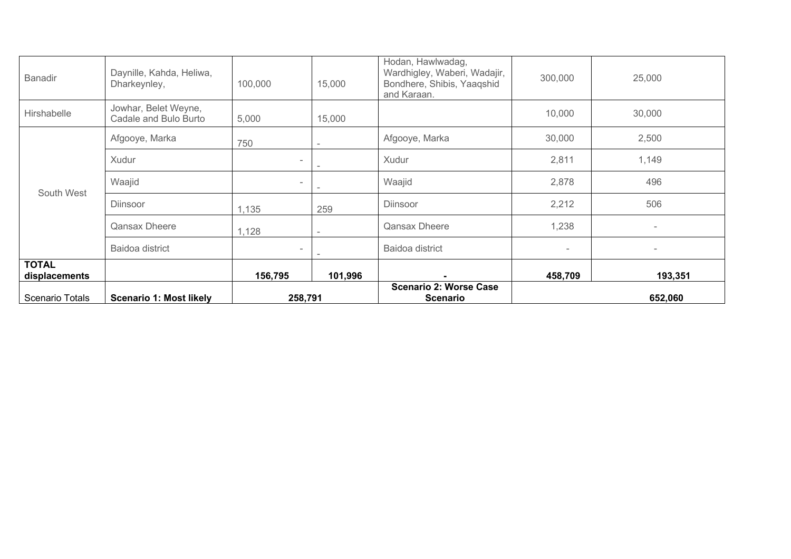| Scenario Totals               | <b>Scenario 1: Most likely</b>                | 258,791                  |         | <b>Scenario 2: Worse Case</b><br><b>Scenario</b>                                               |                          | 652,060                  |
|-------------------------------|-----------------------------------------------|--------------------------|---------|------------------------------------------------------------------------------------------------|--------------------------|--------------------------|
| <b>TOTAL</b><br>displacements |                                               | 156,795                  | 101,996 | ۰                                                                                              | 458,709                  | 193,351                  |
|                               | Baidoa district                               | $\overline{\phantom{0}}$ |         | Baidoa district                                                                                | $\overline{\phantom{a}}$ | $\overline{\phantom{a}}$ |
|                               | <b>Qansax Dheere</b>                          | 1,128                    |         | <b>Qansax Dheere</b>                                                                           | 1,238                    | $\overline{\phantom{a}}$ |
| South West                    | <b>Diinsoor</b>                               | 1,135                    | 259     | <b>Diinsoor</b>                                                                                | 2,212                    | 506                      |
|                               | Waajid                                        | $\overline{\phantom{a}}$ |         | Waajid                                                                                         | 2,878                    | 496                      |
|                               | Xudur                                         | $\overline{\phantom{0}}$ |         | Xudur                                                                                          | 2,811                    | 1,149                    |
|                               | Afgooye, Marka                                | 750                      |         | Afgooye, Marka                                                                                 | 30,000                   | 2,500                    |
| Hirshabelle                   | Jowhar, Belet Weyne,<br>Cadale and Bulo Burto | 5,000                    | 15,000  |                                                                                                | 10,000                   | 30,000                   |
| <b>Banadir</b>                | Daynille, Kahda, Heliwa,<br>Dharkeynley,      | 100,000                  | 15,000  | Hodan, Hawlwadag,<br>Wardhigley, Waberi, Wadajir,<br>Bondhere, Shibis, Yaaqshid<br>and Karaan. | 300,000                  | 25,000                   |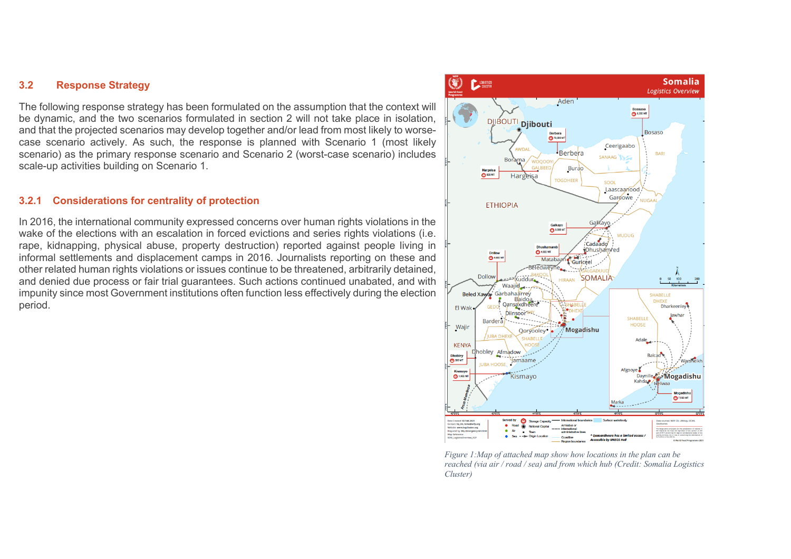## **3.2 Response Strategy**

The following response strategy has been formulated on the assumption that the context will be dynamic, and the two scenarios formulated in section 2 will not take place in isolation, and that the projected scenarios may develop together and/or lead from most likely to worsecase scenario actively. As such, the response is planned with Scenario 1 (most likely scenario) as the primary response scenario and Scenario 2 (worst-case scenario) includes scale-up activities building on Scenario 1.

#### **3.2.1 Considerations for centrality of protection**

In 2016, the international community expressed concerns over human rights violations in the wake of the elections with an escalation in forced evictions and series rights violations (i.e. rape, kidnapping, physical abuse, property destruction) reported against people living in informal settlements and displacement camps in 2016. Journalists reporting on these and other related human rights violations or issues continue to be threatened, arbitrarily detained, and denied due process or fair trial guarantees. Such actions continued unabated, and with impunity since most Government institutions often function less effectively during the election period.



*Figure 1:Map of attached map show how locations in the plan can be reached (via air / road / sea) and from which hub (Credit: Somalia Logistics Cluster)*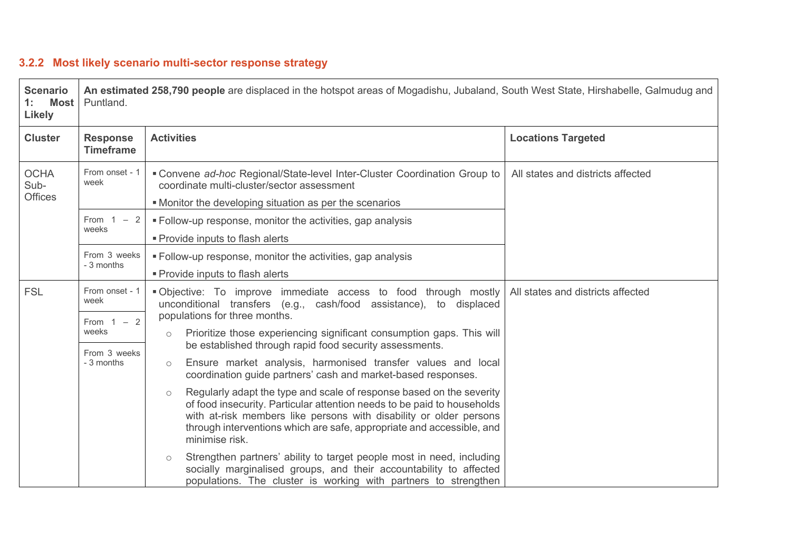# **3.2.2 Most likely scenario multi-sector response strategy**

| <b>Scenario</b><br><b>Most</b><br>1:<br>Likely | Puntland.                              | An estimated 258,790 people are displaced in the hotspot areas of Mogadishu, Jubaland, South West State, Hirshabelle, Galmudug and                                                                                                                                                                                          |                                   |  |  |  |
|------------------------------------------------|----------------------------------------|-----------------------------------------------------------------------------------------------------------------------------------------------------------------------------------------------------------------------------------------------------------------------------------------------------------------------------|-----------------------------------|--|--|--|
| <b>Cluster</b>                                 | <b>Response</b><br><b>Timeframe</b>    | <b>Activities</b>                                                                                                                                                                                                                                                                                                           | <b>Locations Targeted</b>         |  |  |  |
| <b>OCHA</b><br>Sub-<br><b>Offices</b>          | From onset - 1<br>week                 | • Convene ad-hoc Regional/State-level Inter-Cluster Coordination Group to<br>coordinate multi-cluster/sector assessment<br>• Monitor the developing situation as per the scenarios                                                                                                                                          | All states and districts affected |  |  |  |
|                                                | From $1 - 2$<br>weeks                  | " Follow-up response, monitor the activities, gap analysis<br>• Provide inputs to flash alerts                                                                                                                                                                                                                              |                                   |  |  |  |
|                                                | From 3 weeks<br>- 3 months             | • Follow-up response, monitor the activities, gap analysis<br>• Provide inputs to flash alerts                                                                                                                                                                                                                              |                                   |  |  |  |
| <b>FSL</b>                                     | From onset - 1<br>week<br>From $1 - 2$ | . Objective: To improve immediate access to food through mostly<br>unconditional transfers (e.g., cash/food assistance), to displaced<br>populations for three months.                                                                                                                                                      | All states and districts affected |  |  |  |
|                                                | weeks<br>From 3 weeks                  | Prioritize those experiencing significant consumption gaps. This will<br>$\circ$<br>be established through rapid food security assessments.                                                                                                                                                                                 |                                   |  |  |  |
|                                                | - 3 months                             | Ensure market analysis, harmonised transfer values and local<br>$\circ$<br>coordination guide partners' cash and market-based responses.                                                                                                                                                                                    |                                   |  |  |  |
|                                                |                                        | Regularly adapt the type and scale of response based on the severity<br>$\circ$<br>of food insecurity. Particular attention needs to be paid to households<br>with at-risk members like persons with disability or older persons<br>through interventions which are safe, appropriate and accessible, and<br>minimise risk. |                                   |  |  |  |
|                                                |                                        | Strengthen partners' ability to target people most in need, including<br>$\circ$<br>socially marginalised groups, and their accountability to affected<br>populations. The cluster is working with partners to strengthen                                                                                                   |                                   |  |  |  |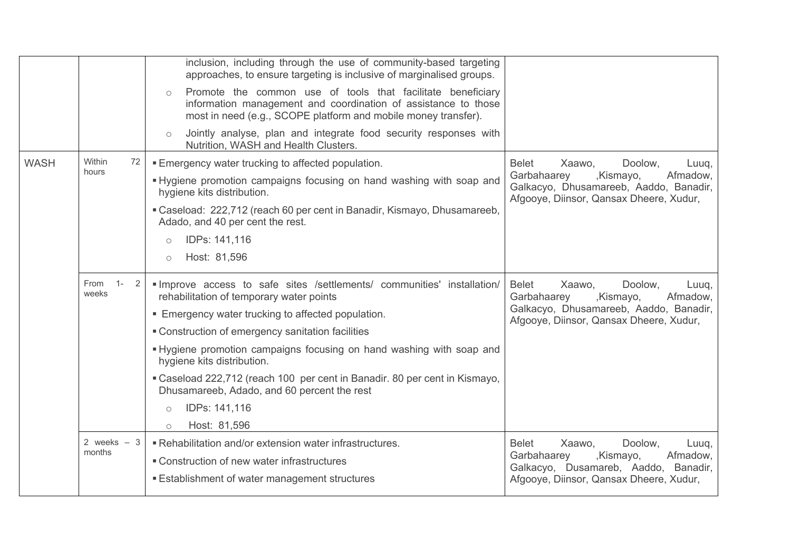|             |                        | inclusion, including through the use of community-based targeting<br>approaches, to ensure targeting is inclusive of marginalised groups.<br>Promote the common use of tools that facilitate beneficiary<br>$\circ$<br>information management and coordination of assistance to those<br>most in need (e.g., SCOPE platform and mobile money transfer).<br>Jointly analyse, plan and integrate food security responses with<br>$\circ$<br>Nutrition, WASH and Health Clusters.                                               |                                                                                                                                                                         |
|-------------|------------------------|------------------------------------------------------------------------------------------------------------------------------------------------------------------------------------------------------------------------------------------------------------------------------------------------------------------------------------------------------------------------------------------------------------------------------------------------------------------------------------------------------------------------------|-------------------------------------------------------------------------------------------------------------------------------------------------------------------------|
| <b>WASH</b> | Within<br>72<br>hours  | <b>Emergency water trucking to affected population.</b><br>. Hygiene promotion campaigns focusing on hand washing with soap and<br>hygiene kits distribution.<br>"Caseload: 222,712 (reach 60 per cent in Banadir, Kismayo, Dhusamareeb,<br>Adado, and 40 per cent the rest.<br>IDPs: 141,116<br>$\circ$<br>Host: 81,596<br>$\circ$                                                                                                                                                                                          | <b>Belet</b><br>Doolow,<br>Xaawo,<br>Luuq,<br>Garbahaarey<br>,Kismayo,<br>Afmadow,<br>Galkacyo, Dhusamareeb, Aaddo, Banadir,<br>Afgooye, Diinsor, Qansax Dheere, Xudur, |
|             | $1 -$<br>From<br>weeks | "Improve access to safe sites /settlements/ communities' installation/<br>rehabilitation of temporary water points<br><b>Emergency water trucking to affected population.</b><br>• Construction of emergency sanitation facilities<br>. Hygiene promotion campaigns focusing on hand washing with soap and<br>hygiene kits distribution.<br>" Caseload 222,712 (reach 100 per cent in Banadir. 80 per cent in Kismayo,<br>Dhusamareeb, Adado, and 60 percent the rest<br>IDPs: 141,116<br>$\circ$<br>Host: 81,596<br>$\circ$ | <b>Belet</b><br>Doolow.<br>Xaawo,<br>Luuq,<br>Afmadow,<br>Garbahaarey<br>,Kismayo,<br>Galkacyo, Dhusamareeb, Aaddo, Banadir,<br>Afgooye, Diinsor, Qansax Dheere, Xudur, |
|             | 2 weeks $-3$<br>months | Rehabilitation and/or extension water infrastructures.<br>■ Construction of new water infrastructures<br><b>Establishment of water management structures</b>                                                                                                                                                                                                                                                                                                                                                                 | <b>Belet</b><br>Doolow,<br>Xaawo,<br>Luuq,<br>Garbahaarey<br>,Kismayo,<br>Afmadow,<br>Galkacyo, Dusamareb, Aaddo, Banadir,<br>Afgooye, Diinsor, Qansax Dheere, Xudur,   |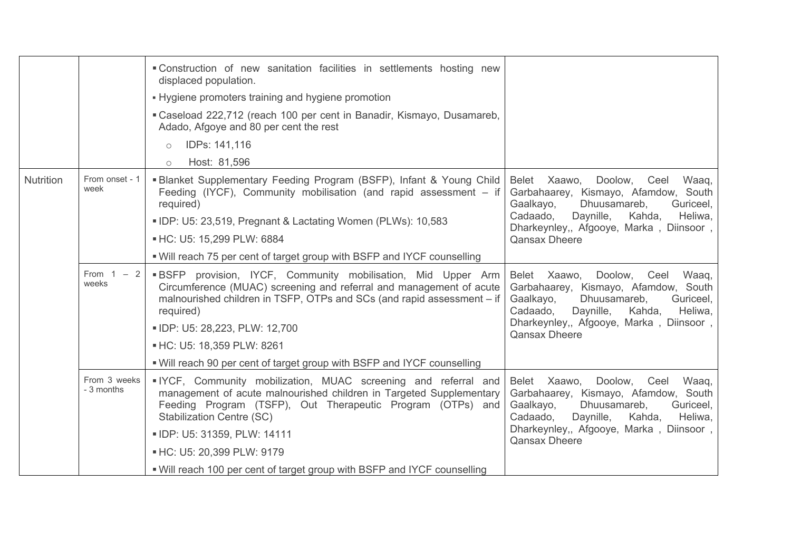|                  |                            | "Construction of new sanitation facilities in settlements hosting new<br>displaced population.<br>• Hygiene promoters training and hygiene promotion<br>"Caseload 222,712 (reach 100 per cent in Banadir, Kismayo, Dusamareb,<br>Adado, Afgoye and 80 per cent the rest<br>IDPs: 141,116<br>$\circ$<br>Host: 81,596<br>$\circ$                                                   |                                                                                                                                                                                                                                          |
|------------------|----------------------------|----------------------------------------------------------------------------------------------------------------------------------------------------------------------------------------------------------------------------------------------------------------------------------------------------------------------------------------------------------------------------------|------------------------------------------------------------------------------------------------------------------------------------------------------------------------------------------------------------------------------------------|
| <b>Nutrition</b> | From onset - 1<br>week     | <b>Blanket Supplementary Feeding Program (BSFP), Infant &amp; Young Child</b><br>Feeding (IYCF), Community mobilisation (and rapid assessment – if<br>required)<br>. IDP: U5: 23,519, Pregnant & Lactating Women (PLWs): 10,583<br>- HC: U5: 15,299 PLW: 6884<br>. Will reach 75 per cent of target group with BSFP and IYCF counselling                                         | Doolow, Ceel Waaq,<br>Belet Xaawo,<br>Garbahaarey, Kismayo, Afamdow, South<br>Dhuusamareb,<br>Gaalkayo,<br>Guriceel,<br>Daynille,<br>Cadaado,<br>Kahda,<br>Heliwa,<br>Dharkeynley,, Afgooye, Marka, Diinsoor,<br><b>Qansax Dheere</b>    |
|                  | From $1 - 2$<br>weeks      | <b>BSFP</b> provision, IYCF, Community mobilisation, Mid Upper Arm<br>Circumference (MUAC) screening and referral and management of acute<br>malnourished children in TSFP, OTPs and SCs (and rapid assessment – if<br>required)<br>· IDP: U5: 28,223, PLW: 12,700<br>- HC: U5: 18,359 PLW: 8261<br>. Will reach 90 per cent of target group with BSFP and IYCF counselling      | Belet Xaawo, Doolow, Ceel<br>Waaq,<br>Garbahaarey, Kismayo, Afamdow, South<br>Dhuusamareb,<br>Gaalkayo,<br>Guriceel,<br>Cadaado,<br>Daynille,<br>Kahda,<br>Heliwa,<br>Dharkeynley,, Afgooye, Marka, Diinsoor,<br><b>Qansax Dheere</b>    |
|                  | From 3 weeks<br>- 3 months | IYCF, Community mobilization, MUAC screening and referral and<br>management of acute malnourished children in Targeted Supplementary<br>Feeding Program (TSFP), Out Therapeutic Program (OTPs) and<br><b>Stabilization Centre (SC)</b><br>· IDP: U5: 31359, PLW: 14111<br>■ HC: U5: 20,399 PLW: 9179<br>. Will reach 100 per cent of target group with BSFP and IYCF counselling | Doolow, Ceel<br>Belet Xaawo,<br>Waaq,<br>Garbahaarey, Kismayo, Afamdow, South<br>Gaalkayo,<br>Dhuusamareb,<br>Guriceel,<br>Kahda,<br>Cadaado,<br>Daynille,<br>Heliwa,<br>Dharkeynley,, Afgooye, Marka, Diinsoor,<br><b>Qansax Dheere</b> |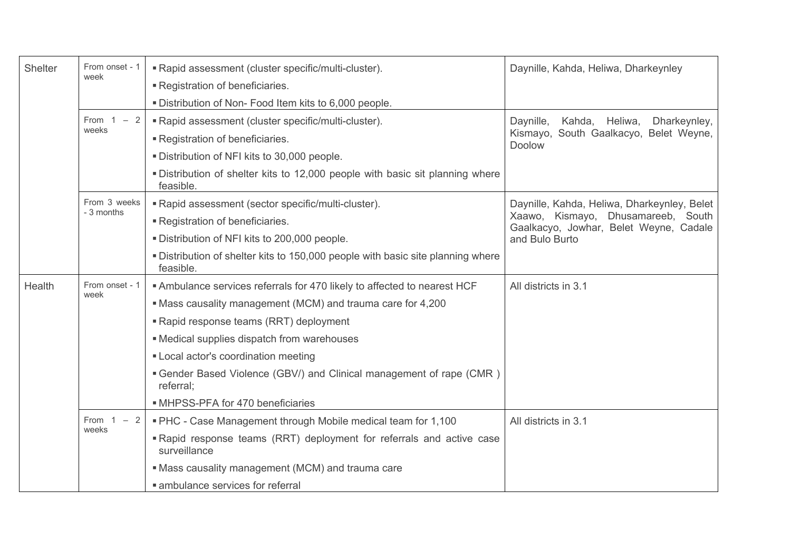| Shelter | From onset - 1          | " Rapid assessment (cluster specific/multi-cluster).                                         | Daynille, Kahda, Heliwa, Dharkeynley                                         |
|---------|-------------------------|----------------------------------------------------------------------------------------------|------------------------------------------------------------------------------|
|         | week                    | Registration of beneficiaries.                                                               |                                                                              |
|         |                         | " Distribution of Non- Food Item kits to 6,000 people.                                       |                                                                              |
|         | From $1 - 2$            | " Rapid assessment (cluster specific/multi-cluster).                                         | Kahda, Heliwa,<br>Daynille,<br>Dharkeynley,                                  |
|         | weeks                   | Registration of beneficiaries.                                                               | Kismayo, South Gaalkacyo, Belet Weyne,<br>Doolow                             |
|         |                         | . Distribution of NFI kits to 30,000 people.                                                 |                                                                              |
|         |                         | . Distribution of shelter kits to 12,000 people with basic sit planning where<br>feasible.   |                                                                              |
|         | From 3 weeks            | " Rapid assessment (sector specific/multi-cluster).                                          | Daynille, Kahda, Heliwa, Dharkeynley, Belet                                  |
|         | - 3 months              | Registration of beneficiaries.                                                               | Xaawo, Kismayo, Dhusamareeb, South<br>Gaalkacyo, Jowhar, Belet Weyne, Cadale |
|         |                         | Distribution of NFI kits to 200,000 people.                                                  | and Bulo Burto                                                               |
|         |                         | . Distribution of shelter kits to 150,000 people with basic site planning where<br>feasible. |                                                                              |
| Health  | From onset - 1          | Ambulance services referrals for 470 likely to affected to nearest HCF                       | All districts in 3.1                                                         |
|         | week                    | • Mass causality management (MCM) and trauma care for 4,200                                  |                                                                              |
|         |                         | "Rapid response teams (RRT) deployment                                                       |                                                                              |
|         |                         | • Medical supplies dispatch from warehouses                                                  |                                                                              |
|         |                         | " Local actor's coordination meeting                                                         |                                                                              |
|         |                         | • Gender Based Violence (GBV/) and Clinical management of rape (CMR)<br>referral;            |                                                                              |
|         |                         | MHPSS-PFA for 470 beneficiaries                                                              |                                                                              |
|         | From 1<br>$-2$<br>weeks | " PHC - Case Management through Mobile medical team for 1,100                                | All districts in 3.1                                                         |
|         |                         | "Rapid response teams (RRT) deployment for referrals and active case<br>surveillance         |                                                                              |
|         |                         | • Mass causality management (MCM) and trauma care                                            |                                                                              |
|         |                         | • ambulance services for referral                                                            |                                                                              |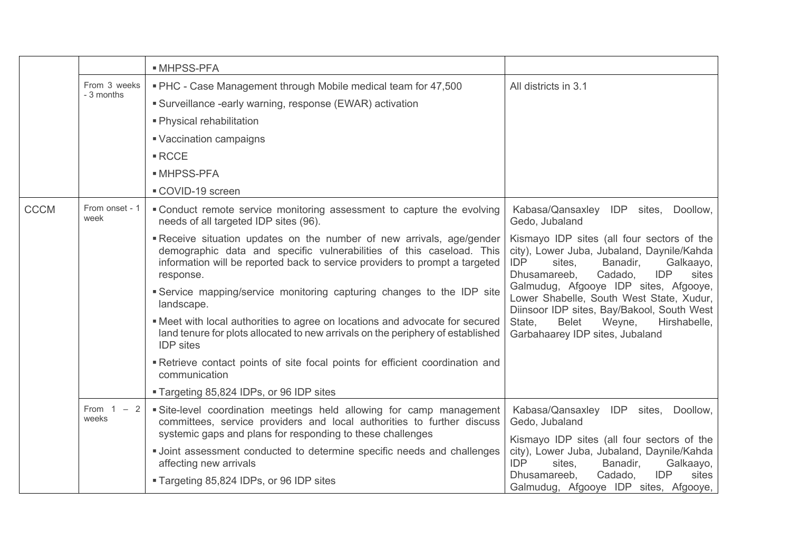|             |                        | <b>MHPSS-PFA</b>                                                                                                                                                                                                                        |                                                                                                                                                                                             |
|-------------|------------------------|-----------------------------------------------------------------------------------------------------------------------------------------------------------------------------------------------------------------------------------------|---------------------------------------------------------------------------------------------------------------------------------------------------------------------------------------------|
|             | From 3 weeks           | . PHC - Case Management through Mobile medical team for 47,500                                                                                                                                                                          | All districts in 3.1                                                                                                                                                                        |
|             | - 3 months             | Surveillance -early warning, response (EWAR) activation                                                                                                                                                                                 |                                                                                                                                                                                             |
|             |                        | • Physical rehabilitation                                                                                                                                                                                                               |                                                                                                                                                                                             |
|             |                        | Vaccination campaigns                                                                                                                                                                                                                   |                                                                                                                                                                                             |
|             |                        | $\blacksquare$ RCCE                                                                                                                                                                                                                     |                                                                                                                                                                                             |
|             |                        | <b>MHPSS-PFA</b>                                                                                                                                                                                                                        |                                                                                                                                                                                             |
|             |                        | COVID-19 screen                                                                                                                                                                                                                         |                                                                                                                                                                                             |
| <b>CCCM</b> | From onset - 1<br>week | "Conduct remote service monitoring assessment to capture the evolving<br>needs of all targeted IDP sites (96).                                                                                                                          | Kabasa/Qansaxley IDP sites, Doollow,<br>Gedo, Jubaland                                                                                                                                      |
|             |                        | Receive situation updates on the number of new arrivals, age/gender<br>demographic data and specific vulnerabilities of this caseload. This<br>information will be reported back to service providers to prompt a targeted<br>response. | Kismayo IDP sites (all four sectors of the<br>city), Lower Juba, Jubaland, Daynile/Kahda<br><b>IDP</b><br>Banadir,<br>sites,<br>Galkaayo,<br>Dhusamareeb,<br>Cadado,<br><b>IDP</b><br>sites |
|             |                        | Service mapping/service monitoring capturing changes to the IDP site<br>landscape.                                                                                                                                                      | Galmudug, Afgooye IDP sites, Afgooye,<br>Lower Shabelle, South West State, Xudur,<br>Diinsoor IDP sites, Bay/Bakool, South West                                                             |
|             |                        | . Meet with local authorities to agree on locations and advocate for secured<br>land tenure for plots allocated to new arrivals on the periphery of established<br><b>IDP</b> sites                                                     | State,<br><b>Belet</b><br>Weyne,<br>Hirshabelle,<br>Garbahaarey IDP sites, Jubaland                                                                                                         |
|             |                        | Retrieve contact points of site focal points for efficient coordination and<br>communication                                                                                                                                            |                                                                                                                                                                                             |
|             |                        | " Targeting 85,824 IDPs, or 96 IDP sites                                                                                                                                                                                                |                                                                                                                                                                                             |
|             | From $1 - 2$<br>weeks  | Site-level coordination meetings held allowing for camp management<br>committees, service providers and local authorities to further discuss<br>systemic gaps and plans for responding to these challenges                              | Kabasa/Qansaxley IDP<br>sites,<br>Doollow,<br>Gedo, Jubaland                                                                                                                                |
|             |                        | · Joint assessment conducted to determine specific needs and challenges<br>affecting new arrivals                                                                                                                                       | Kismayo IDP sites (all four sectors of the<br>city), Lower Juba, Jubaland, Daynile/Kahda<br><b>IDP</b><br>Banadir,<br>Galkaayo,<br>sites,                                                   |
|             |                        | ■ Targeting 85,824 IDPs, or 96 IDP sites                                                                                                                                                                                                | Dhusamareeb,<br>Cadado,<br><b>IDP</b><br>sites<br>Galmudug, Afgooye IDP sites, Afgooye,                                                                                                     |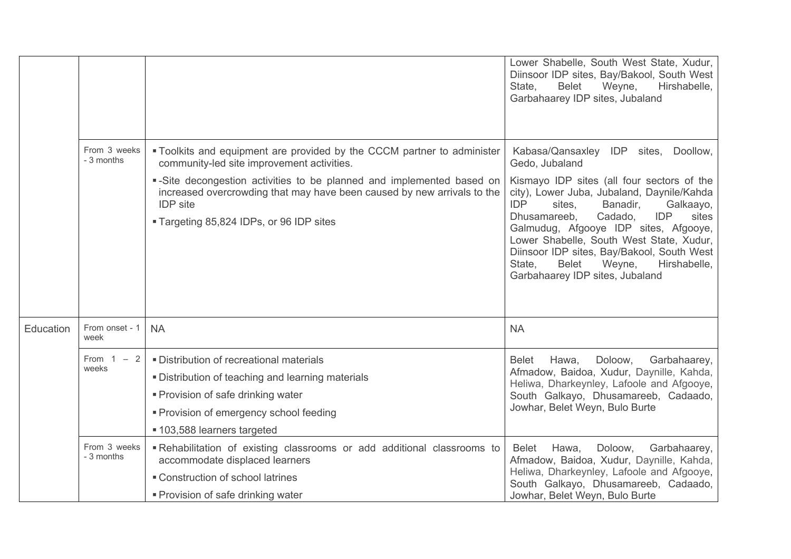|           |                            |                                                                                                                                                                                                               | Lower Shabelle, South West State, Xudur,<br>Diinsoor IDP sites, Bay/Bakool, South West<br>State,<br><b>Belet</b><br>Weyne,<br>Hirshabelle,<br>Garbahaarey IDP sites, Jubaland                                          |
|-----------|----------------------------|---------------------------------------------------------------------------------------------------------------------------------------------------------------------------------------------------------------|------------------------------------------------------------------------------------------------------------------------------------------------------------------------------------------------------------------------|
|           | From 3 weeks<br>- 3 months | . Toolkits and equipment are provided by the CCCM partner to administer<br>community-led site improvement activities.                                                                                         | Kabasa/Qansaxley IDP sites, Doollow,<br>Gedo, Jubaland                                                                                                                                                                 |
|           |                            | -Site decongestion activities to be planned and implemented based on<br>increased overcrowding that may have been caused by new arrivals to the<br><b>IDP</b> site                                            | Kismayo IDP sites (all four sectors of the<br>city), Lower Juba, Jubaland, Daynile/Kahda<br><b>IDP</b><br>sites,<br>Banadir,<br>Galkaayo,<br>Dhusamareeb,<br>Cadado,<br><b>IDP</b><br>sites                            |
|           |                            | " Targeting 85,824 IDPs, or 96 IDP sites                                                                                                                                                                      | Galmudug, Afgooye IDP sites, Afgooye,<br>Lower Shabelle, South West State, Xudur,<br>Diinsoor IDP sites, Bay/Bakool, South West<br>State,<br><b>Belet</b><br>Weyne,<br>Hirshabelle,<br>Garbahaarey IDP sites, Jubaland |
| Education | From onset - 1<br>week     | <b>NA</b>                                                                                                                                                                                                     | <b>NA</b>                                                                                                                                                                                                              |
|           | From $1 - 2$<br>weeks      | · Distribution of recreational materials<br>. Distribution of teaching and learning materials<br>• Provision of safe drinking water<br>• Provision of emergency school feeding<br>■ 103,588 learners targeted | Hawa,<br>Doloow,<br>Garbahaarey,<br><b>Belet</b><br>Afmadow, Baidoa, Xudur, Daynille, Kahda,<br>Heliwa, Dharkeynley, Lafoole and Afgooye,<br>South Galkayo, Dhusamareeb, Cadaado,<br>Jowhar, Belet Weyn, Bulo Burte    |
|           | From 3 weeks<br>- 3 months | -Rehabilitation of existing classrooms or add additional classrooms to<br>accommodate displaced learners<br>■ Construction of school latrines<br>• Provision of safe drinking water                           | Doloow,<br>Garbahaarey,<br><b>Belet</b><br>Hawa,<br>Afmadow, Baidoa, Xudur, Daynille, Kahda,<br>Heliwa, Dharkeynley, Lafoole and Afgooye,<br>South Galkayo, Dhusamareeb, Cadaado,<br>Jowhar, Belet Weyn, Bulo Burte    |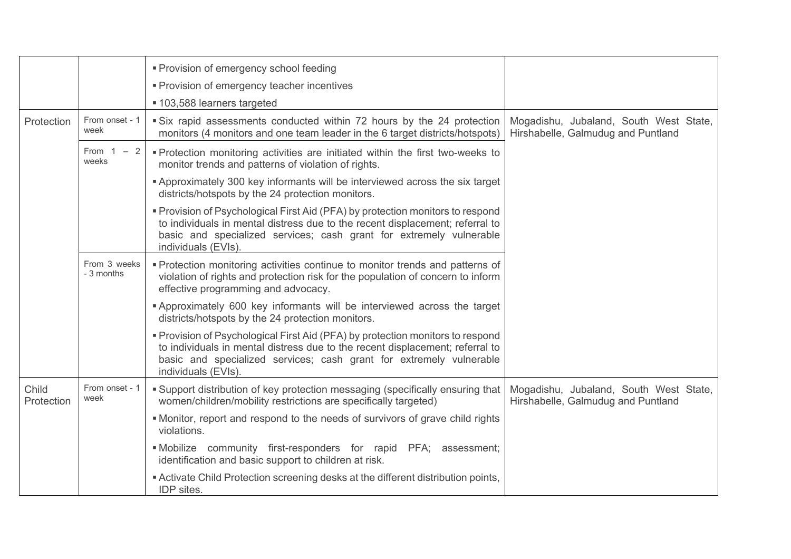|                     |                            | • Provision of emergency school feeding                                                                                                                                                                                                                       |                                                                              |
|---------------------|----------------------------|---------------------------------------------------------------------------------------------------------------------------------------------------------------------------------------------------------------------------------------------------------------|------------------------------------------------------------------------------|
|                     |                            | • Provision of emergency teacher incentives                                                                                                                                                                                                                   |                                                                              |
|                     |                            | ■ 103,588 learners targeted                                                                                                                                                                                                                                   |                                                                              |
| Protection          | From onset - 1<br>week     | Six rapid assessments conducted within 72 hours by the 24 protection<br>monitors (4 monitors and one team leader in the 6 target districts/hotspots)                                                                                                          | Mogadishu, Jubaland, South West State,<br>Hirshabelle, Galmudug and Puntland |
|                     | From $1 - 2$<br>weeks      | • Protection monitoring activities are initiated within the first two-weeks to<br>monitor trends and patterns of violation of rights.                                                                                                                         |                                                                              |
|                     |                            | <b>Approximately 300 key informants will be interviewed across the six target</b><br>districts/hotspots by the 24 protection monitors.                                                                                                                        |                                                                              |
|                     |                            | " Provision of Psychological First Aid (PFA) by protection monitors to respond<br>to individuals in mental distress due to the recent displacement; referral to<br>basic and specialized services; cash grant for extremely vulnerable<br>individuals (EVIs). |                                                                              |
|                     | From 3 weeks<br>- 3 months | • Protection monitoring activities continue to monitor trends and patterns of<br>violation of rights and protection risk for the population of concern to inform<br>effective programming and advocacy.                                                       |                                                                              |
|                     |                            | <b>Approximately 600 key informants will be interviewed across the target</b><br>districts/hotspots by the 24 protection monitors.                                                                                                                            |                                                                              |
|                     |                            | • Provision of Psychological First Aid (PFA) by protection monitors to respond<br>to individuals in mental distress due to the recent displacement; referral to<br>basic and specialized services; cash grant for extremely vulnerable<br>individuals (EVIs). |                                                                              |
| Child<br>Protection | From onset - 1<br>week     | • Support distribution of key protection messaging (specifically ensuring that<br>women/children/mobility restrictions are specifically targeted)                                                                                                             | Mogadishu, Jubaland, South West State,<br>Hirshabelle, Galmudug and Puntland |
|                     |                            | • Monitor, report and respond to the needs of survivors of grave child rights<br>violations.                                                                                                                                                                  |                                                                              |
|                     |                            | . Mobilize community first-responders for rapid PFA; assessment;<br>identification and basic support to children at risk.                                                                                                                                     |                                                                              |
|                     |                            | " Activate Child Protection screening desks at the different distribution points,<br>IDP sites.                                                                                                                                                               |                                                                              |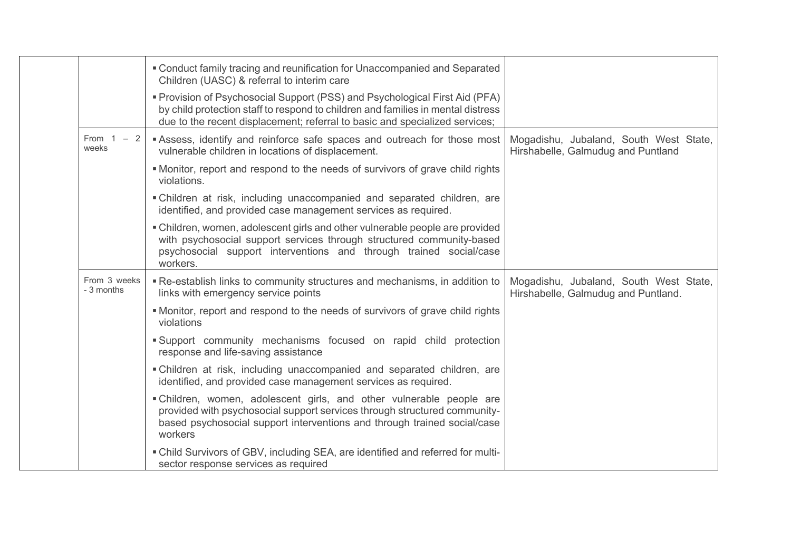|                            | • Conduct family tracing and reunification for Unaccompanied and Separated<br>Children (UASC) & referral to interim care                                                                                                                       |                                                                               |
|----------------------------|------------------------------------------------------------------------------------------------------------------------------------------------------------------------------------------------------------------------------------------------|-------------------------------------------------------------------------------|
|                            | " Provision of Psychosocial Support (PSS) and Psychological First Aid (PFA)<br>by child protection staff to respond to children and families in mental distress<br>due to the recent displacement; referral to basic and specialized services; |                                                                               |
| From 1<br>$-2$<br>weeks    | Assess, identify and reinforce safe spaces and outreach for those most<br>vulnerable children in locations of displacement.                                                                                                                    | Mogadishu, Jubaland, South West State,<br>Hirshabelle, Galmudug and Puntland  |
|                            | • Monitor, report and respond to the needs of survivors of grave child rights<br>violations.                                                                                                                                                   |                                                                               |
|                            | . Children at risk, including unaccompanied and separated children, are<br>identified, and provided case management services as required.                                                                                                      |                                                                               |
|                            | • Children, women, adolescent girls and other vulnerable people are provided<br>with psychosocial support services through structured community-based<br>psychosocial support interventions and through trained social/case<br>workers.        |                                                                               |
| From 3 weeks<br>- 3 months | . Re-establish links to community structures and mechanisms, in addition to<br>links with emergency service points                                                                                                                             | Mogadishu, Jubaland, South West State,<br>Hirshabelle, Galmudug and Puntland. |
|                            | • Monitor, report and respond to the needs of survivors of grave child rights<br>violations                                                                                                                                                    |                                                                               |
|                            | Support community mechanisms focused on rapid child protection<br>response and life-saving assistance                                                                                                                                          |                                                                               |
|                            | . Children at risk, including unaccompanied and separated children, are<br>identified, and provided case management services as required.                                                                                                      |                                                                               |
|                            | . Children, women, adolescent girls, and other vulnerable people are<br>provided with psychosocial support services through structured community-<br>based psychosocial support interventions and through trained social/case<br>workers       |                                                                               |
|                            | . Child Survivors of GBV, including SEA, are identified and referred for multi-<br>sector response services as required                                                                                                                        |                                                                               |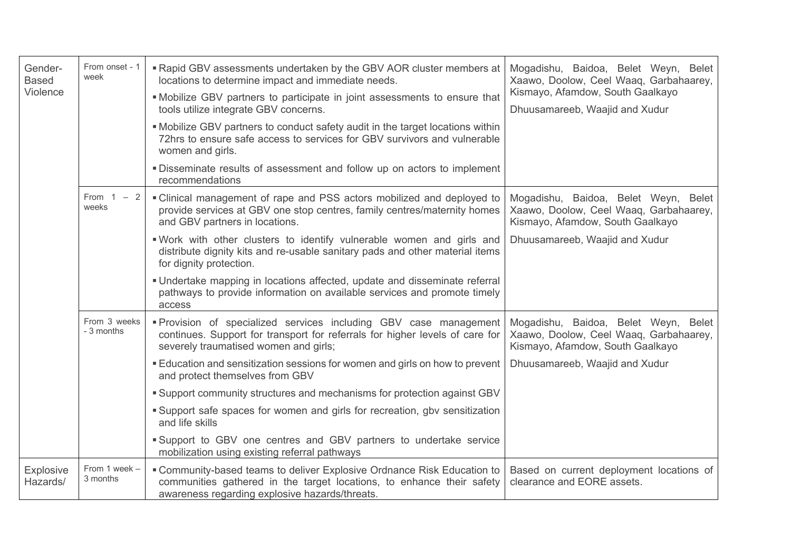| Gender-<br><b>Based</b><br>Violence | From onset - 1<br>week     | ■ Rapid GBV assessments undertaken by the GBV AOR cluster members at<br>locations to determine impact and immediate needs.<br>. Mobilize GBV partners to participate in joint assessments to ensure that<br>tools utilize integrate GBV concerns.<br>• Mobilize GBV partners to conduct safety audit in the target locations within<br>72hrs to ensure safe access to services for GBV survivors and vulnerable<br>women and girls.<br>. Disseminate results of assessment and follow up on actors to implement<br>recommendations | Mogadishu, Baidoa, Belet Weyn, Belet<br>Xaawo, Doolow, Ceel Waaq, Garbahaarey,<br>Kismayo, Afamdow, South Gaalkayo<br>Dhuusamareeb, Waajid and Xudur |
|-------------------------------------|----------------------------|------------------------------------------------------------------------------------------------------------------------------------------------------------------------------------------------------------------------------------------------------------------------------------------------------------------------------------------------------------------------------------------------------------------------------------------------------------------------------------------------------------------------------------|------------------------------------------------------------------------------------------------------------------------------------------------------|
|                                     | From 1<br>$-2$<br>weeks    | • Clinical management of rape and PSS actors mobilized and deployed to<br>provide services at GBV one stop centres, family centres/maternity homes<br>and GBV partners in locations.                                                                                                                                                                                                                                                                                                                                               | Mogadishu, Baidoa, Belet Weyn, Belet<br>Xaawo, Doolow, Ceel Waaq, Garbahaarey,<br>Kismayo, Afamdow, South Gaalkayo                                   |
|                                     |                            | . Work with other clusters to identify vulnerable women and girls and<br>distribute dignity kits and re-usable sanitary pads and other material items<br>for dignity protection.                                                                                                                                                                                                                                                                                                                                                   | Dhuusamareeb, Waajid and Xudur                                                                                                                       |
|                                     |                            | • Undertake mapping in locations affected, update and disseminate referral<br>pathways to provide information on available services and promote timely<br>access                                                                                                                                                                                                                                                                                                                                                                   |                                                                                                                                                      |
|                                     | From 3 weeks<br>- 3 months | <b>Provision of specialized services including GBV case management</b><br>continues. Support for transport for referrals for higher levels of care for<br>severely traumatised women and girls;                                                                                                                                                                                                                                                                                                                                    | Mogadishu, Baidoa, Belet Weyn, Belet<br>Xaawo, Doolow, Ceel Waaq, Garbahaarey,<br>Kismayo, Afamdow, South Gaalkayo                                   |
|                                     |                            | Education and sensitization sessions for women and girls on how to prevent<br>and protect themselves from GBV                                                                                                                                                                                                                                                                                                                                                                                                                      | Dhuusamareeb, Waajid and Xudur                                                                                                                       |
|                                     |                            | • Support community structures and mechanisms for protection against GBV                                                                                                                                                                                                                                                                                                                                                                                                                                                           |                                                                                                                                                      |
|                                     |                            | • Support safe spaces for women and girls for recreation, gbv sensitization<br>and life skills                                                                                                                                                                                                                                                                                                                                                                                                                                     |                                                                                                                                                      |
|                                     |                            | Support to GBV one centres and GBV partners to undertake service<br>mobilization using existing referral pathways                                                                                                                                                                                                                                                                                                                                                                                                                  |                                                                                                                                                      |
| Explosive<br>Hazards/               | From 1 week -<br>3 months  | " Community-based teams to deliver Explosive Ordnance Risk Education to<br>communities gathered in the target locations, to enhance their safety<br>awareness regarding explosive hazards/threats.                                                                                                                                                                                                                                                                                                                                 | Based on current deployment locations of<br>clearance and EORE assets.                                                                               |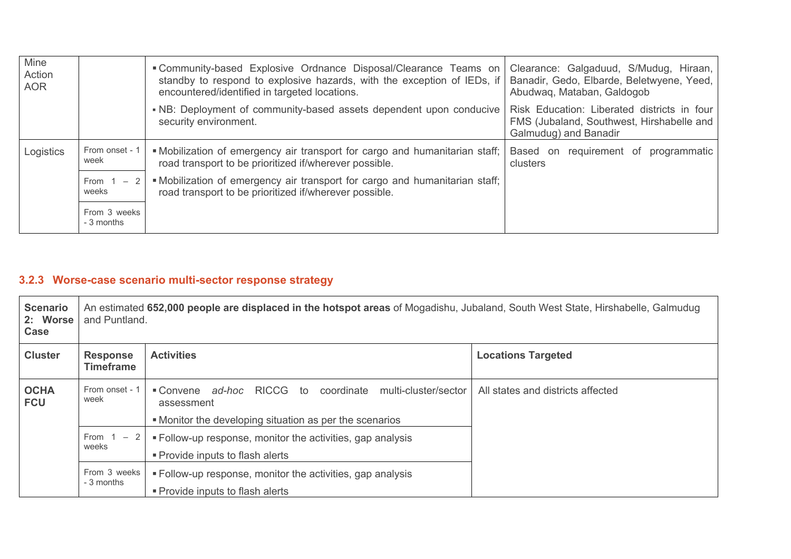| Mine<br>Action<br><b>AOR</b> |                            | "Community-based Explosive Ordnance Disposal/Clearance Teams on<br>standby to respond to explosive hazards, with the exception of IEDs, if<br>encountered/identified in targeted locations. | Clearance: Galgaduud, S/Mudug, Hiraan,<br>Banadir, Gedo, Elbarde, Beletwyene, Yeed,<br>Abudwaq, Mataban, Galdogob |
|------------------------------|----------------------------|---------------------------------------------------------------------------------------------------------------------------------------------------------------------------------------------|-------------------------------------------------------------------------------------------------------------------|
|                              |                            | . NB: Deployment of community-based assets dependent upon conducive<br>security environment.                                                                                                | Risk Education: Liberated districts in four<br>FMS (Jubaland, Southwest, Hirshabelle and<br>Galmudug) and Banadir |
| Logistics                    | From onset - 1<br>week     | . Mobilization of emergency air transport for cargo and humanitarian staff;<br>road transport to be prioritized if/wherever possible.                                                       | Based on requirement of programmatic<br>clusters                                                                  |
|                              | From 1<br>$-2$<br>weeks    | . Mobilization of emergency air transport for cargo and humanitarian staff;<br>road transport to be prioritized if/wherever possible.                                                       |                                                                                                                   |
|                              | From 3 weeks<br>- 3 months |                                                                                                                                                                                             |                                                                                                                   |

# **3.2.3 Worse-case scenario multi-sector response strategy**

| <b>Scenario</b><br>2: Worse<br>Case | An estimated 652,000 people are displaced in the hotspot areas of Mogadishu, Jubaland, South West State, Hirshabelle, Galmudug<br>and Puntland. |                                                                                                                                                                       |                                   |
|-------------------------------------|-------------------------------------------------------------------------------------------------------------------------------------------------|-----------------------------------------------------------------------------------------------------------------------------------------------------------------------|-----------------------------------|
| <b>Cluster</b>                      | <b>Response</b><br><b>Timeframe</b>                                                                                                             | <b>Activities</b>                                                                                                                                                     | <b>Locations Targeted</b>         |
| <b>OCHA</b><br><b>FCU</b>           | From onset - 1<br>week                                                                                                                          | ad-hoc<br><b>RICCG</b><br>$\blacksquare$ Convene<br>coordinate<br>multi-cluster/sector<br>to<br>assessment<br>• Monitor the developing situation as per the scenarios | All states and districts affected |
|                                     | From $1 - 2$<br>weeks                                                                                                                           | • Follow-up response, monitor the activities, gap analysis<br>• Provide inputs to flash alerts                                                                        |                                   |
|                                     | From 3 weeks<br>- 3 months                                                                                                                      | • Follow-up response, monitor the activities, gap analysis<br>• Provide inputs to flash alerts                                                                        |                                   |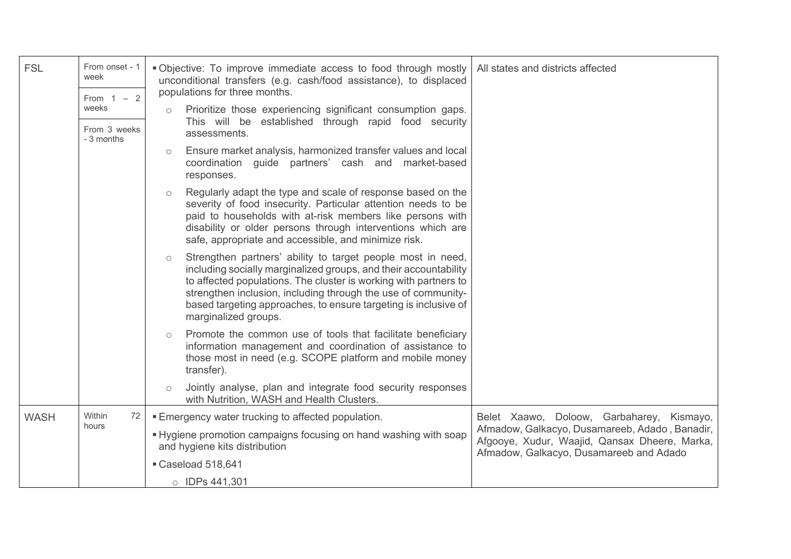| <b>FSL</b>  | From onset - 1<br>week<br>From $1 - 2$ | . Objective: To improve immediate access to food through mostly<br>All states and districts affected<br>unconditional transfers (e.g. cash/food assistance), to displaced<br>populations for three months.                                                                                                                                                                 |
|-------------|----------------------------------------|----------------------------------------------------------------------------------------------------------------------------------------------------------------------------------------------------------------------------------------------------------------------------------------------------------------------------------------------------------------------------|
|             | weeks<br>From 3 weeks<br>- 3 months    | Prioritize those experiencing significant consumption gaps.<br>This will be established through rapid food security<br>assessments.                                                                                                                                                                                                                                        |
|             |                                        | Ensure market analysis, harmonized transfer values and local<br>$\circ$<br>coordination guide partners' cash and market-based<br>responses.                                                                                                                                                                                                                                |
|             |                                        | Regularly adapt the type and scale of response based on the<br>$\circ$<br>severity of food insecurity. Particular attention needs to be<br>paid to households with at-risk members like persons with<br>disability or older persons through interventions which are<br>safe, appropriate and accessible, and minimize risk.                                                |
|             |                                        | Strengthen partners' ability to target people most in need,<br>$\circ$<br>including socially marginalized groups, and their accountability<br>to affected populations. The cluster is working with partners to<br>strengthen inclusion, including through the use of community-<br>based targeting approaches, to ensure targeting is inclusive of<br>marginalized groups. |
|             |                                        | Promote the common use of tools that facilitate beneficiary<br>$\circ$<br>information management and coordination of assistance to<br>those most in need (e.g. SCOPE platform and mobile money<br>transfer).                                                                                                                                                               |
|             |                                        | Jointly analyse, plan and integrate food security responses<br>with Nutrition, WASH and Health Clusters.                                                                                                                                                                                                                                                                   |
| <b>WASH</b> | Within<br>72                           | Belet Xaawo, Doloow, Garbaharey, Kismayo,<br>■ Emergency water trucking to affected population.                                                                                                                                                                                                                                                                            |
|             | hours                                  | Afmadow, Galkacyo, Dusamareeb, Adado, Banadir,<br>• Hygiene promotion campaigns focusing on hand washing with soap<br>Afgooye, Xudur, Waajid, Qansax Dheere, Marka,<br>and hygiene kits distribution<br>Afmadow, Galkacyo, Dusamareeb and Adado                                                                                                                            |
|             |                                        | Caseload 518,641                                                                                                                                                                                                                                                                                                                                                           |
|             |                                        | O IDPs 441,301                                                                                                                                                                                                                                                                                                                                                             |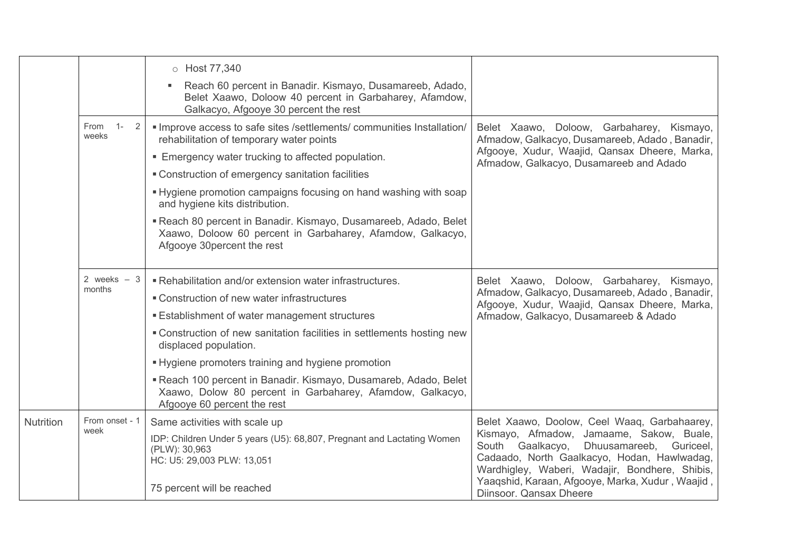|                  |                             | o Host 77,340                                                                                                                                               |                                                                                                                                                                                         |
|------------------|-----------------------------|-------------------------------------------------------------------------------------------------------------------------------------------------------------|-----------------------------------------------------------------------------------------------------------------------------------------------------------------------------------------|
|                  |                             | Reach 60 percent in Banadir. Kismayo, Dusamareeb, Adado,<br>Belet Xaawo, Doloow 40 percent in Garbaharey, Afamdow,<br>Galkacyo, Afgooye 30 percent the rest |                                                                                                                                                                                         |
|                  | $1 -$<br>From<br>2<br>weeks | · Improve access to safe sites /settlements/ communities Installation/<br>rehabilitation of temporary water points                                          | Belet Xaawo, Doloow, Garbaharey, Kismayo,<br>Afmadow, Galkacyo, Dusamareeb, Adado, Banadir,<br>Afgooye, Xudur, Waajid, Qansax Dheere, Marka,<br>Afmadow, Galkacyo, Dusamareeb and Adado |
|                  |                             | <b>Emergency water trucking to affected population.</b>                                                                                                     |                                                                                                                                                                                         |
|                  |                             | " Construction of emergency sanitation facilities                                                                                                           |                                                                                                                                                                                         |
|                  |                             | • Hygiene promotion campaigns focusing on hand washing with soap<br>and hygiene kits distribution.                                                          |                                                                                                                                                                                         |
|                  |                             | Reach 80 percent in Banadir. Kismayo, Dusamareeb, Adado, Belet<br>Xaawo, Doloow 60 percent in Garbaharey, Afamdow, Galkacyo,<br>Afgooye 30 percent the rest |                                                                                                                                                                                         |
|                  | 2 weeks $-3$                | . Rehabilitation and/or extension water infrastructures.                                                                                                    | Belet Xaawo, Doloow, Garbaharey, Kismayo,                                                                                                                                               |
|                  | months                      | ■ Construction of new water infrastructures                                                                                                                 | Afmadow, Galkacyo, Dusamareeb, Adado, Banadir,<br>Afgooye, Xudur, Waajid, Qansax Dheere, Marka,<br>Afmadow, Galkacyo, Dusamareeb & Adado                                                |
|                  |                             | <b>Establishment of water management structures</b>                                                                                                         |                                                                                                                                                                                         |
|                  |                             | • Construction of new sanitation facilities in settlements hosting new<br>displaced population.                                                             |                                                                                                                                                                                         |
|                  |                             | - Hygiene promoters training and hygiene promotion                                                                                                          |                                                                                                                                                                                         |
|                  |                             | Reach 100 percent in Banadir. Kismayo, Dusamareb, Adado, Belet<br>Xaawo, Dolow 80 percent in Garbaharey, Afamdow, Galkacyo,<br>Afgooye 60 percent the rest  |                                                                                                                                                                                         |
| <b>Nutrition</b> | From onset - 1              | Same activities with scale up                                                                                                                               | Belet Xaawo, Doolow, Ceel Waaq, Garbahaarey,                                                                                                                                            |
|                  | week                        | IDP: Children Under 5 years (U5): 68,807, Pregnant and Lactating Women<br>(PLW): 30,963<br>HC: U5: 29,003 PLW: 13,051                                       | Kismayo, Afmadow, Jamaame, Sakow, Buale,<br>South Gaalkacyo, Dhuusamareeb, Guriceel,<br>Cadaado, North Gaalkacyo, Hodan, Hawlwadag,<br>Wardhigley, Waberi, Wadajir, Bondhere, Shibis,   |
|                  |                             | 75 percent will be reached                                                                                                                                  | Yaaqshid, Karaan, Afgooye, Marka, Xudur, Waajid,<br>Diinsoor. Qansax Dheere                                                                                                             |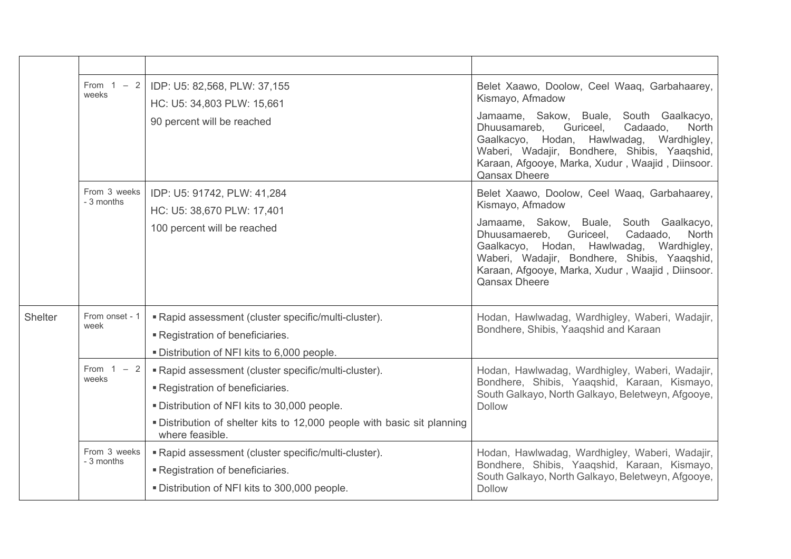|                | From $1 - 2$<br>weeks      | IDP: U5: 82,568, PLW: 37,155<br>HC: U5: 34,803 PLW: 15,661                                                                                                                                                                         | Belet Xaawo, Doolow, Ceel Waaq, Garbahaarey,<br>Kismayo, Afmadow                                                                                                                                                                                                         |
|----------------|----------------------------|------------------------------------------------------------------------------------------------------------------------------------------------------------------------------------------------------------------------------------|--------------------------------------------------------------------------------------------------------------------------------------------------------------------------------------------------------------------------------------------------------------------------|
|                |                            | 90 percent will be reached                                                                                                                                                                                                         | Jamaame, Sakow, Buale, South Gaalkacyo,<br>Cadaado,<br>Dhuusamareb.<br>Guriceel,<br><b>North</b><br>Gaalkacyo, Hodan, Hawlwadag, Wardhigley,<br>Waberi, Wadajir, Bondhere, Shibis, Yaaqshid,<br>Karaan, Afgooye, Marka, Xudur, Waajid, Diinsoor.<br><b>Qansax Dheere</b> |
|                | From 3 weeks<br>- 3 months | IDP: U5: 91742, PLW: 41,284<br>HC: U5: 38,670 PLW: 17,401                                                                                                                                                                          | Belet Xaawo, Doolow, Ceel Waaq, Garbahaarey,<br>Kismayo, Afmadow                                                                                                                                                                                                         |
|                |                            | 100 percent will be reached                                                                                                                                                                                                        | Jamaame, Sakow, Buale, South Gaalkacyo,<br>Dhuusamaereb,<br>Guriceel,<br>Cadaado,<br>North<br>Gaalkacyo, Hodan, Hawlwadag, Wardhigley,<br>Waberi, Wadajir, Bondhere, Shibis, Yaaqshid,<br>Karaan, Afgooye, Marka, Xudur, Waajid, Diinsoor.<br><b>Qansax Dheere</b>       |
| <b>Shelter</b> | From onset - 1<br>week     | " Rapid assessment (cluster specific/multi-cluster).<br>Registration of beneficiaries.<br>. Distribution of NFI kits to 6,000 people.                                                                                              | Hodan, Hawlwadag, Wardhigley, Waberi, Wadajir,<br>Bondhere, Shibis, Yaaqshid and Karaan                                                                                                                                                                                  |
|                | From $1 - 2$<br>weeks      | Rapid assessment (cluster specific/multi-cluster).<br>Registration of beneficiaries.<br>. Distribution of NFI kits to 30,000 people.<br>. Distribution of shelter kits to 12,000 people with basic sit planning<br>where feasible. | Hodan, Hawlwadag, Wardhigley, Waberi, Wadajir,<br>Bondhere, Shibis, Yaaqshid, Karaan, Kismayo,<br>South Galkayo, North Galkayo, Beletweyn, Afgooye,<br><b>Dollow</b>                                                                                                     |
|                | From 3 weeks<br>- 3 months | " Rapid assessment (cluster specific/multi-cluster).<br>Registration of beneficiaries.<br>. Distribution of NFI kits to 300,000 people.                                                                                            | Hodan, Hawlwadag, Wardhigley, Waberi, Wadajir,<br>Bondhere, Shibis, Yaaqshid, Karaan, Kismayo,<br>South Galkayo, North Galkayo, Beletweyn, Afgooye,<br><b>Dollow</b>                                                                                                     |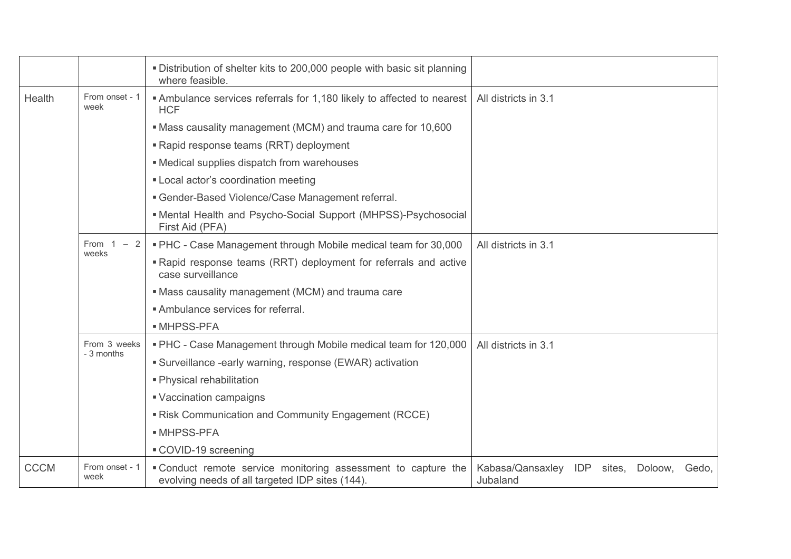|             |                            | . Distribution of shelter kits to 200,000 people with basic sit planning<br>where feasible.                      |                                                          |
|-------------|----------------------------|------------------------------------------------------------------------------------------------------------------|----------------------------------------------------------|
| Health      | From onset - 1<br>week     | Ambulance services referrals for 1,180 likely to affected to nearest<br><b>HCF</b>                               | All districts in 3.1                                     |
|             |                            | • Mass causality management (MCM) and trauma care for 10,600                                                     |                                                          |
|             |                            | "Rapid response teams (RRT) deployment                                                                           |                                                          |
|             |                            | • Medical supplies dispatch from warehouses                                                                      |                                                          |
|             |                            | " Local actor's coordination meeting                                                                             |                                                          |
|             |                            | <b>Gender-Based Violence/Case Management referral.</b>                                                           |                                                          |
|             |                            | • Mental Health and Psycho-Social Support (MHPSS)-Psychosocial<br>First Aid (PFA)                                |                                                          |
|             | From 1<br>$-2$<br>weeks    | " PHC - Case Management through Mobile medical team for 30,000                                                   | All districts in 3.1                                     |
|             |                            | "Rapid response teams (RRT) deployment for referrals and active<br>case surveillance                             |                                                          |
|             |                            | • Mass causality management (MCM) and trauma care                                                                |                                                          |
|             |                            | Ambulance services for referral.                                                                                 |                                                          |
|             |                            | • MHPSS-PFA                                                                                                      |                                                          |
|             | From 3 weeks<br>- 3 months | . PHC - Case Management through Mobile medical team for 120,000                                                  | All districts in 3.1                                     |
|             |                            | • Surveillance -early warning, response (EWAR) activation                                                        |                                                          |
|             |                            | • Physical rehabilitation                                                                                        |                                                          |
|             |                            | ■ Vaccination campaigns                                                                                          |                                                          |
|             |                            | Risk Communication and Community Engagement (RCCE)                                                               |                                                          |
|             |                            | • MHPSS-PFA                                                                                                      |                                                          |
|             |                            | COVID-19 screening                                                                                               |                                                          |
| <b>CCCM</b> | From onset - 1<br>week     | • Conduct remote service monitoring assessment to capture the<br>evolving needs of all targeted IDP sites (144). | Kabasa/Qansaxley IDP<br>sites, Doloow, Gedo,<br>Jubaland |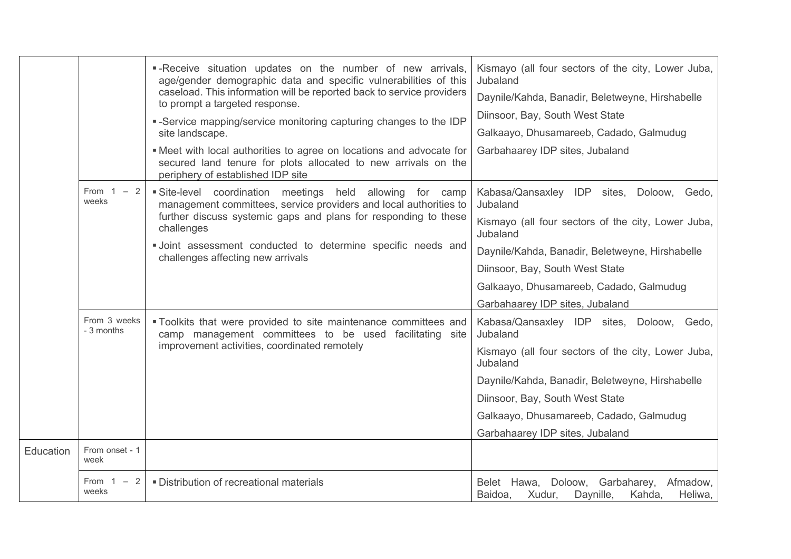|           |                            | -Receive situation updates on the number of new arrivals,<br>age/gender demographic data and specific vulnerabilities of this<br>caseload. This information will be reported back to service providers<br>to prompt a targeted response. | Kismayo (all four sectors of the city, Lower Juba,<br>Jubaland<br>Daynile/Kahda, Banadir, Beletweyne, Hirshabelle |
|-----------|----------------------------|------------------------------------------------------------------------------------------------------------------------------------------------------------------------------------------------------------------------------------------|-------------------------------------------------------------------------------------------------------------------|
|           |                            | -Service mapping/service monitoring capturing changes to the IDP<br>site landscape.                                                                                                                                                      | Diinsoor, Bay, South West State<br>Galkaayo, Dhusamareeb, Cadado, Galmudug                                        |
|           |                            | . Meet with local authorities to agree on locations and advocate for<br>secured land tenure for plots allocated to new arrivals on the<br>periphery of established IDP site                                                              | Garbahaarey IDP sites, Jubaland                                                                                   |
|           | From $1 - 2$<br>weeks      | Site-level coordination meetings held allowing for camp<br>management committees, service providers and local authorities to                                                                                                             | Kabasa/Qansaxley IDP sites, Doloow, Gedo,<br>Jubaland                                                             |
|           |                            | further discuss systemic gaps and plans for responding to these<br>challenges                                                                                                                                                            | Kismayo (all four sectors of the city, Lower Juba,<br>Jubaland                                                    |
|           |                            | · Joint assessment conducted to determine specific needs and<br>challenges affecting new arrivals                                                                                                                                        | Daynile/Kahda, Banadir, Beletweyne, Hirshabelle                                                                   |
|           |                            |                                                                                                                                                                                                                                          | Diinsoor, Bay, South West State                                                                                   |
|           |                            |                                                                                                                                                                                                                                          | Galkaayo, Dhusamareeb, Cadado, Galmudug                                                                           |
|           |                            |                                                                                                                                                                                                                                          | Garbahaarey IDP sites, Jubaland                                                                                   |
|           | From 3 weeks<br>- 3 months | "Toolkits that were provided to site maintenance committees and<br>camp management committees to be used facilitating site<br>improvement activities, coordinated remotely                                                               | Kabasa/Qansaxley IDP sites, Doloow, Gedo,<br>Jubaland                                                             |
|           |                            |                                                                                                                                                                                                                                          | Kismayo (all four sectors of the city, Lower Juba,<br>Jubaland                                                    |
|           |                            |                                                                                                                                                                                                                                          | Daynile/Kahda, Banadir, Beletweyne, Hirshabelle                                                                   |
|           |                            |                                                                                                                                                                                                                                          | Diinsoor, Bay, South West State                                                                                   |
|           |                            |                                                                                                                                                                                                                                          | Galkaayo, Dhusamareeb, Cadado, Galmudug                                                                           |
|           |                            |                                                                                                                                                                                                                                          | Garbahaarey IDP sites, Jubaland                                                                                   |
| Education | From onset - 1<br>week     |                                                                                                                                                                                                                                          |                                                                                                                   |
|           | From $1 - 2$<br>weeks      | · Distribution of recreational materials                                                                                                                                                                                                 | Belet Hawa, Doloow, Garbaharey,<br>Afmadow,<br>Xudur,<br>Daynille,<br>Baidoa,<br>Kahda,<br>Heliwa,                |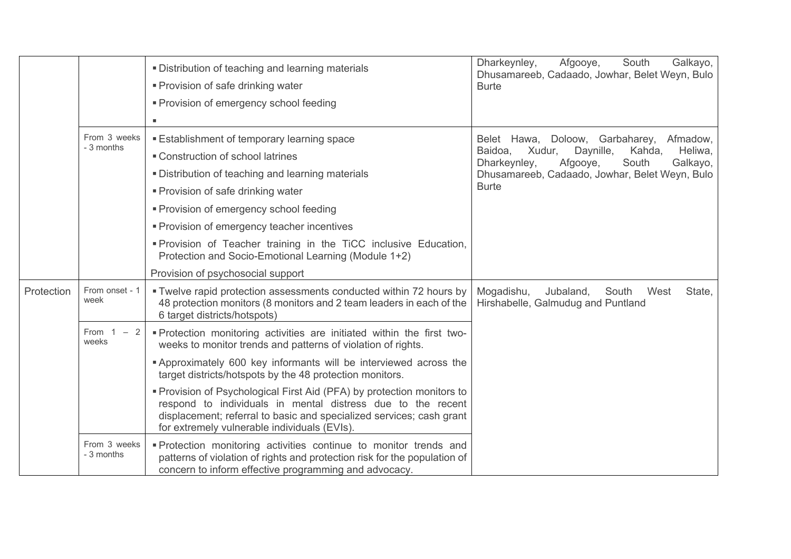|            |                            | . Distribution of teaching and learning materials<br>• Provision of safe drinking water<br>• Provision of emergency school feeding                                                                                                                                                                                                                                                                                                                                                                                                            | Dharkeynley,<br>Afgooye,<br>Galkayo,<br>South<br>Dhusamareeb, Cadaado, Jowhar, Belet Weyn, Bulo<br><b>Burte</b>                                                                                                    |
|------------|----------------------------|-----------------------------------------------------------------------------------------------------------------------------------------------------------------------------------------------------------------------------------------------------------------------------------------------------------------------------------------------------------------------------------------------------------------------------------------------------------------------------------------------------------------------------------------------|--------------------------------------------------------------------------------------------------------------------------------------------------------------------------------------------------------------------|
|            | From 3 weeks<br>- 3 months | <b>Establishment of temporary learning space</b><br>• Construction of school latrines<br>. Distribution of teaching and learning materials<br>• Provision of safe drinking water<br>• Provision of emergency school feeding<br>" Provision of emergency teacher incentives<br>"Provision of Teacher training in the TiCC inclusive Education,<br>Protection and Socio-Emotional Learning (Module 1+2)                                                                                                                                         | Belet Hawa, Doloow, Garbaharey, Afmadow,<br>Baidoa,<br>Xudur,<br>Daynille,<br>Kahda,<br>Heliwa,<br>Dharkeynley,<br>Afgooye,<br>South<br>Galkayo,<br>Dhusamareeb, Cadaado, Jowhar, Belet Weyn, Bulo<br><b>Burte</b> |
| Protection | From onset - 1<br>week     | Provision of psychosocial support<br>. Twelve rapid protection assessments conducted within 72 hours by<br>48 protection monitors (8 monitors and 2 team leaders in each of the<br>6 target districts/hotspots)                                                                                                                                                                                                                                                                                                                               | Mogadishu,<br>South<br>West<br>State,<br>Jubaland,<br>Hirshabelle, Galmudug and Puntland                                                                                                                           |
|            | From 1<br>$-2$<br>weeks    | . Protection monitoring activities are initiated within the first two-<br>weeks to monitor trends and patterns of violation of rights.<br><b>Approximately 600 key informants will be interviewed across the</b><br>target districts/hotspots by the 48 protection monitors.<br>• Provision of Psychological First Aid (PFA) by protection monitors to<br>respond to individuals in mental distress due to the recent<br>displacement; referral to basic and specialized services; cash grant<br>for extremely vulnerable individuals (EVIs). |                                                                                                                                                                                                                    |
|            | From 3 weeks<br>- 3 months | . Protection monitoring activities continue to monitor trends and<br>patterns of violation of rights and protection risk for the population of<br>concern to inform effective programming and advocacy.                                                                                                                                                                                                                                                                                                                                       |                                                                                                                                                                                                                    |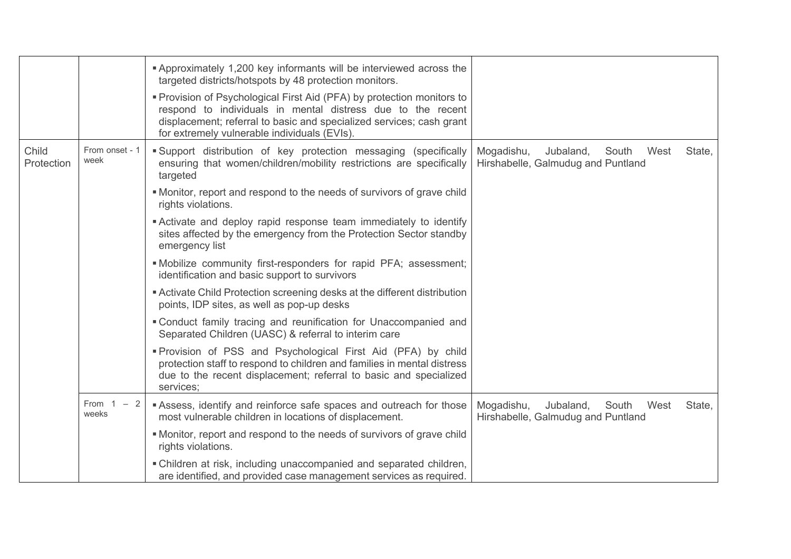|                     |                        | <b>Approximately 1,200 key informants will be interviewed across the</b>                                                                                                                                                                                      |                                                                                          |
|---------------------|------------------------|---------------------------------------------------------------------------------------------------------------------------------------------------------------------------------------------------------------------------------------------------------------|------------------------------------------------------------------------------------------|
|                     |                        | targeted districts/hotspots by 48 protection monitors.                                                                                                                                                                                                        |                                                                                          |
|                     |                        | • Provision of Psychological First Aid (PFA) by protection monitors to<br>respond to individuals in mental distress due to the recent<br>displacement; referral to basic and specialized services; cash grant<br>for extremely vulnerable individuals (EVIs). |                                                                                          |
| Child<br>Protection | From onset - 1<br>week | Support distribution of key protection messaging (specifically<br>ensuring that women/children/mobility restrictions are specifically<br>targeted                                                                                                             | Mogadishu,<br>South<br>West<br>State,<br>Jubaland,<br>Hirshabelle, Galmudug and Puntland |
|                     |                        | • Monitor, report and respond to the needs of survivors of grave child<br>rights violations.                                                                                                                                                                  |                                                                                          |
|                     |                        | Activate and deploy rapid response team immediately to identify<br>sites affected by the emergency from the Protection Sector standby<br>emergency list                                                                                                       |                                                                                          |
|                     |                        | . Mobilize community first-responders for rapid PFA; assessment;<br>identification and basic support to survivors                                                                                                                                             |                                                                                          |
|                     |                        | Activate Child Protection screening desks at the different distribution<br>points, IDP sites, as well as pop-up desks                                                                                                                                         |                                                                                          |
|                     |                        | . Conduct family tracing and reunification for Unaccompanied and<br>Separated Children (UASC) & referral to interim care                                                                                                                                      |                                                                                          |
|                     |                        | "Provision of PSS and Psychological First Aid (PFA) by child<br>protection staff to respond to children and families in mental distress<br>due to the recent displacement; referral to basic and specialized<br>services;                                     |                                                                                          |
|                     | From $1 - 2$<br>weeks  | Assess, identify and reinforce safe spaces and outreach for those<br>most vulnerable children in locations of displacement.                                                                                                                                   | Mogadishu,<br>Jubaland,<br>South<br>West<br>State,<br>Hirshabelle, Galmudug and Puntland |
|                     |                        | • Monitor, report and respond to the needs of survivors of grave child<br>rights violations.                                                                                                                                                                  |                                                                                          |
|                     |                        | . Children at risk, including unaccompanied and separated children,<br>are identified, and provided case management services as required.                                                                                                                     |                                                                                          |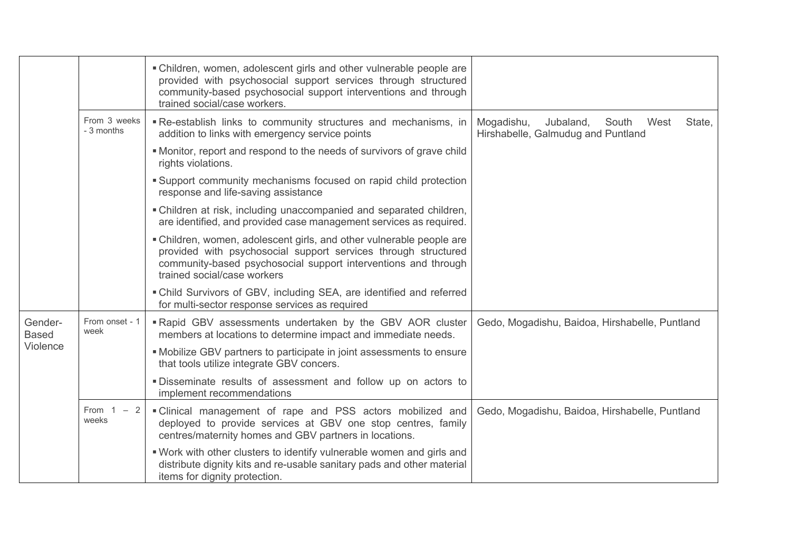|                         |                                | • Children, women, adolescent girls and other vulnerable people are<br>provided with psychosocial support services through structured<br>community-based psychosocial support interventions and through<br>trained social/case workers. |                                                                                          |
|-------------------------|--------------------------------|-----------------------------------------------------------------------------------------------------------------------------------------------------------------------------------------------------------------------------------------|------------------------------------------------------------------------------------------|
|                         | From 3 weeks<br>- 3 months     | Re-establish links to community structures and mechanisms, in<br>addition to links with emergency service points                                                                                                                        | Mogadishu,<br>Jubaland,<br>South<br>West<br>State,<br>Hirshabelle, Galmudug and Puntland |
|                         |                                | • Monitor, report and respond to the needs of survivors of grave child<br>rights violations.                                                                                                                                            |                                                                                          |
|                         |                                | Support community mechanisms focused on rapid child protection<br>response and life-saving assistance                                                                                                                                   |                                                                                          |
|                         |                                | • Children at risk, including unaccompanied and separated children,<br>are identified, and provided case management services as required.                                                                                               |                                                                                          |
|                         |                                | • Children, women, adolescent girls, and other vulnerable people are<br>provided with psychosocial support services through structured<br>community-based psychosocial support interventions and through<br>trained social/case workers |                                                                                          |
|                         |                                | . Child Survivors of GBV, including SEA, are identified and referred<br>for multi-sector response services as required                                                                                                                  |                                                                                          |
| Gender-<br><b>Based</b> | From onset - 1<br>week         | Rapid GBV assessments undertaken by the GBV AOR cluster<br>members at locations to determine impact and immediate needs.                                                                                                                | Gedo, Mogadishu, Baidoa, Hirshabelle, Puntland                                           |
| Violence                |                                | . Mobilize GBV partners to participate in joint assessments to ensure<br>that tools utilize integrate GBV concers.                                                                                                                      |                                                                                          |
|                         |                                | . Disseminate results of assessment and follow up on actors to<br>implement recommendations                                                                                                                                             |                                                                                          |
|                         | From 1<br>$ \,$<br>-2<br>weeks | . Clinical management of rape and PSS actors mobilized and<br>deployed to provide services at GBV one stop centres, family<br>centres/maternity homes and GBV partners in locations.                                                    | Gedo, Mogadishu, Baidoa, Hirshabelle, Puntland                                           |
|                         |                                | . Work with other clusters to identify vulnerable women and girls and<br>distribute dignity kits and re-usable sanitary pads and other material<br>items for dignity protection.                                                        |                                                                                          |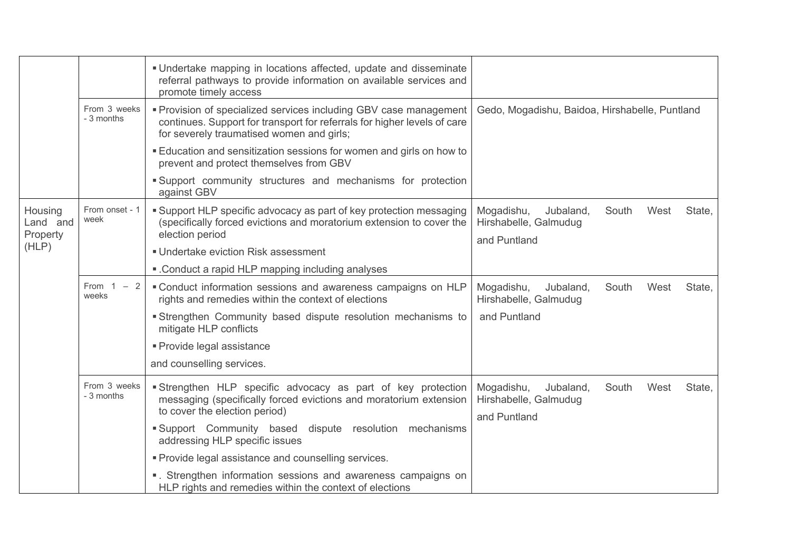|                                 |                            | . Undertake mapping in locations affected, update and disseminate<br>referral pathways to provide information on available services and<br>promote timely access                           |                                                                                             |
|---------------------------------|----------------------------|--------------------------------------------------------------------------------------------------------------------------------------------------------------------------------------------|---------------------------------------------------------------------------------------------|
|                                 | From 3 weeks<br>- 3 months | " Provision of specialized services including GBV case management<br>continues. Support for transport for referrals for higher levels of care<br>for severely traumatised women and girls; | Gedo, Mogadishu, Baidoa, Hirshabelle, Puntland                                              |
|                                 |                            | Education and sensitization sessions for women and girls on how to<br>prevent and protect themselves from GBV                                                                              |                                                                                             |
|                                 |                            | Support community structures and mechanisms for protection<br>against GBV                                                                                                                  |                                                                                             |
| Housing<br>Land and<br>Property | From onset - 1<br>week     | • Support HLP specific advocacy as part of key protection messaging<br>(specifically forced evictions and moratorium extension to cover the<br>election period                             | South<br>West<br>State,<br>Mogadishu,<br>Jubaland,<br>Hirshabelle, Galmudug<br>and Puntland |
| (HLP)                           |                            | <b>Undertake eviction Risk assessment</b>                                                                                                                                                  |                                                                                             |
|                                 |                            | . Conduct a rapid HLP mapping including analyses                                                                                                                                           |                                                                                             |
|                                 | From 1<br>$-2$<br>weeks    | " Conduct information sessions and awareness campaigns on HLP<br>rights and remedies within the context of elections                                                                       | Mogadishu,<br>Jubaland,<br>South<br>West<br>State,<br>Hirshabelle, Galmudug                 |
|                                 |                            | Strengthen Community based dispute resolution mechanisms to<br>mitigate HLP conflicts                                                                                                      | and Puntland                                                                                |
|                                 |                            | · Provide legal assistance                                                                                                                                                                 |                                                                                             |
|                                 |                            | and counselling services.                                                                                                                                                                  |                                                                                             |
|                                 | From 3 weeks<br>- 3 months | Strengthen HLP specific advocacy as part of key protection<br>messaging (specifically forced evictions and moratorium extension<br>to cover the election period)                           | Mogadishu,<br>South<br>West<br>State,<br>Jubaland,<br>Hirshabelle, Galmudug<br>and Puntland |
|                                 |                            | Support Community based dispute resolution mechanisms<br>addressing HLP specific issues                                                                                                    |                                                                                             |
|                                 |                            | • Provide legal assistance and counselling services.                                                                                                                                       |                                                                                             |
|                                 |                            | ". Strengthen information sessions and awareness campaigns on<br>HLP rights and remedies within the context of elections                                                                   |                                                                                             |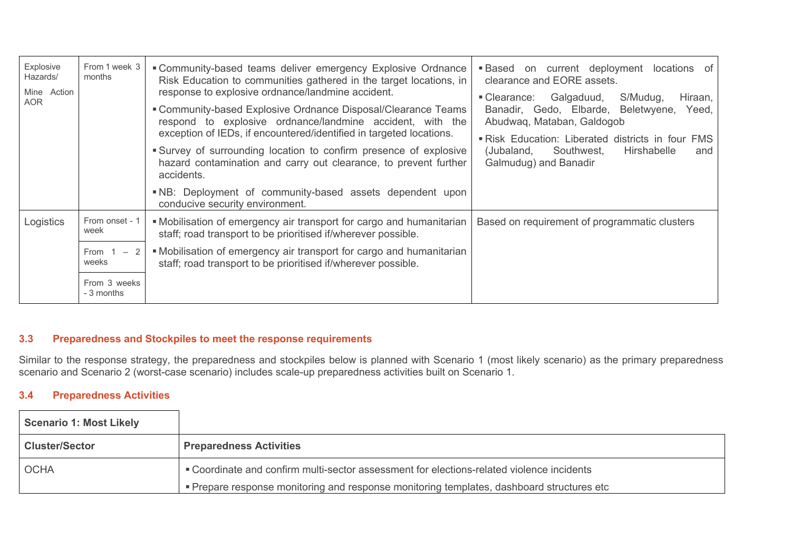| <b>Explosive</b><br>Hazards/<br>Mine Action<br><b>AOR</b> | From 1 week 3<br>months                                                         | "Community-based teams deliver emergency Explosive Ordnance<br>Risk Education to communities gathered in the target locations, in<br>response to explosive ordnance/landmine accident.<br>" Community-based Explosive Ordnance Disposal/Clearance Teams<br>respond to explosive ordnance/landmine accident, with the<br>exception of IEDs, if encountered/identified in targeted locations.<br>Survey of surrounding location to confirm presence of explosive<br>hazard contamination and carry out clearance, to prevent further<br>accidents.<br>. NB: Deployment of community-based assets dependent upon<br>conducive security environment. | <b>Based</b> on current deployment locations of<br>clearance and EORE assets.<br>S/Mudug,<br>Galgaduud,<br>■ Clearance:<br>Hiraan,<br>Banadir, Gedo, Elbarde, Beletwyene,<br>Yeed,<br>Abudwag, Mataban, Galdogob<br>"Risk Education: Liberated districts in four FMS<br>Southwest,<br>Hirshabelle<br>(Jubaland,<br>and<br>Galmudug) and Banadir |  |
|-----------------------------------------------------------|---------------------------------------------------------------------------------|--------------------------------------------------------------------------------------------------------------------------------------------------------------------------------------------------------------------------------------------------------------------------------------------------------------------------------------------------------------------------------------------------------------------------------------------------------------------------------------------------------------------------------------------------------------------------------------------------------------------------------------------------|-------------------------------------------------------------------------------------------------------------------------------------------------------------------------------------------------------------------------------------------------------------------------------------------------------------------------------------------------|--|
| Logistics                                                 | From onset - 1<br>week<br>From 1<br>$-2$<br>weeks<br>From 3 weeks<br>- 3 months | • Mobilisation of emergency air transport for cargo and humanitarian<br>staff; road transport to be prioritised if/wherever possible.<br>• Mobilisation of emergency air transport for cargo and humanitarian<br>staff; road transport to be prioritised if/wherever possible.                                                                                                                                                                                                                                                                                                                                                                   | Based on requirement of programmatic clusters                                                                                                                                                                                                                                                                                                   |  |

## **3.3 Preparedness and Stockpiles to meet the response requirements**

Similar to the response strategy, the preparedness and stockpiles below is planned with Scenario 1 (most likely scenario) as the primary preparedness scenario and Scenario 2 (worst-case scenario) includes scale-up preparedness activities built on Scenario 1.

## **3.4 Preparedness Activities**

| <b>Scenario 1: Most Likely</b>                                                                           |                                                                                           |
|----------------------------------------------------------------------------------------------------------|-------------------------------------------------------------------------------------------|
| <b>Cluster/Sector</b>                                                                                    | <b>Preparedness Activities</b>                                                            |
| . Coordinate and confirm multi-sector assessment for elections-related violence incidents<br><b>OCHA</b> |                                                                                           |
|                                                                                                          | • Prepare response monitoring and response monitoring templates, dashboard structures etc |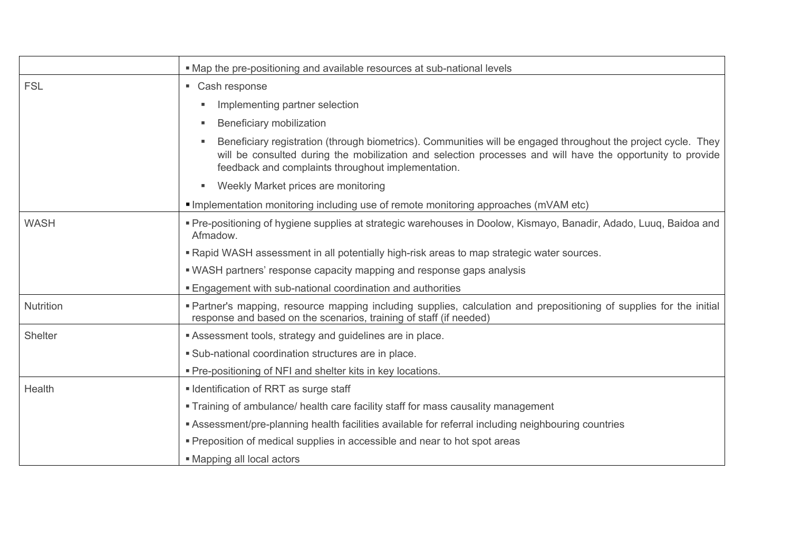|                  | • Map the pre-positioning and available resources at sub-national levels                                                                                                                                                                                                          |  |  |
|------------------|-----------------------------------------------------------------------------------------------------------------------------------------------------------------------------------------------------------------------------------------------------------------------------------|--|--|
| <b>FSL</b>       | • Cash response                                                                                                                                                                                                                                                                   |  |  |
|                  | Implementing partner selection<br>٠                                                                                                                                                                                                                                               |  |  |
|                  | Beneficiary mobilization<br>×,                                                                                                                                                                                                                                                    |  |  |
|                  | Beneficiary registration (through biometrics). Communities will be engaged throughout the project cycle. They<br>will be consulted during the mobilization and selection processes and will have the opportunity to provide<br>feedback and complaints throughout implementation. |  |  |
|                  | Weekly Market prices are monitoring<br>٠                                                                                                                                                                                                                                          |  |  |
|                  | Implementation monitoring including use of remote monitoring approaches (mVAM etc)                                                                                                                                                                                                |  |  |
| <b>WASH</b>      | • Pre-positioning of hygiene supplies at strategic warehouses in Doolow, Kismayo, Banadir, Adado, Luuq, Baidoa and<br>Afmadow.                                                                                                                                                    |  |  |
|                  | . Rapid WASH assessment in all potentially high-risk areas to map strategic water sources.                                                                                                                                                                                        |  |  |
|                  | • WASH partners' response capacity mapping and response gaps analysis                                                                                                                                                                                                             |  |  |
|                  | <b>Engagement with sub-national coordination and authorities</b>                                                                                                                                                                                                                  |  |  |
| <b>Nutrition</b> | • Partner's mapping, resource mapping including supplies, calculation and prepositioning of supplies for the initial<br>response and based on the scenarios, training of staff (if needed)                                                                                        |  |  |
| <b>Shelter</b>   | Assessment tools, strategy and guidelines are in place.                                                                                                                                                                                                                           |  |  |
|                  | • Sub-national coordination structures are in place.                                                                                                                                                                                                                              |  |  |
|                  | • Pre-positioning of NFI and shelter kits in key locations.                                                                                                                                                                                                                       |  |  |
| Health           | I Identification of RRT as surge staff                                                                                                                                                                                                                                            |  |  |
|                  | • Training of ambulance/ health care facility staff for mass causality management                                                                                                                                                                                                 |  |  |
|                  | Assessment/pre-planning health facilities available for referral including neighbouring countries                                                                                                                                                                                 |  |  |
|                  | • Preposition of medical supplies in accessible and near to hot spot areas                                                                                                                                                                                                        |  |  |
|                  | • Mapping all local actors                                                                                                                                                                                                                                                        |  |  |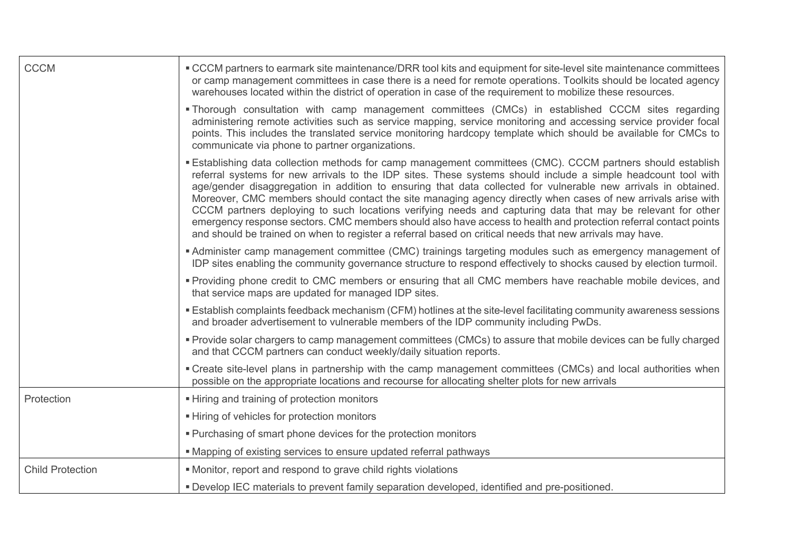| <b>CCCM</b>             | • CCCM partners to earmark site maintenance/DRR tool kits and equipment for site-level site maintenance committees<br>or camp management committees in case there is a need for remote operations. Toolkits should be located agency<br>warehouses located within the district of operation in case of the requirement to mobilize these resources.                                                                                                                                                                                                                                                                                                                                                                                                                                                                |  |  |
|-------------------------|--------------------------------------------------------------------------------------------------------------------------------------------------------------------------------------------------------------------------------------------------------------------------------------------------------------------------------------------------------------------------------------------------------------------------------------------------------------------------------------------------------------------------------------------------------------------------------------------------------------------------------------------------------------------------------------------------------------------------------------------------------------------------------------------------------------------|--|--|
|                         | . Thorough consultation with camp management committees (CMCs) in established CCCM sites regarding<br>administering remote activities such as service mapping, service monitoring and accessing service provider focal<br>points. This includes the translated service monitoring hardcopy template which should be available for CMCs to<br>communicate via phone to partner organizations.                                                                                                                                                                                                                                                                                                                                                                                                                       |  |  |
|                         | <b>Establishing data collection methods for camp management committees (CMC). CCCM partners should establish</b><br>referral systems for new arrivals to the IDP sites. These systems should include a simple headcount tool with<br>age/gender disaggregation in addition to ensuring that data collected for vulnerable new arrivals in obtained.<br>Moreover, CMC members should contact the site managing agency directly when cases of new arrivals arise with<br>CCCM partners deploying to such locations verifying needs and capturing data that may be relevant for other<br>emergency response sectors. CMC members should also have access to health and protection referral contact points<br>and should be trained on when to register a referral based on critical needs that new arrivals may have. |  |  |
|                         | • Administer camp management committee (CMC) trainings targeting modules such as emergency management of<br>IDP sites enabling the community governance structure to respond effectively to shocks caused by election turmoil.                                                                                                                                                                                                                                                                                                                                                                                                                                                                                                                                                                                     |  |  |
|                         | • Providing phone credit to CMC members or ensuring that all CMC members have reachable mobile devices, and<br>that service maps are updated for managed IDP sites.                                                                                                                                                                                                                                                                                                                                                                                                                                                                                                                                                                                                                                                |  |  |
|                         | Establish complaints feedback mechanism (CFM) hotlines at the site-level facilitating community awareness sessions<br>and broader advertisement to vulnerable members of the IDP community including PwDs.                                                                                                                                                                                                                                                                                                                                                                                                                                                                                                                                                                                                         |  |  |
|                         | • Provide solar chargers to camp management committees (CMCs) to assure that mobile devices can be fully charged<br>and that CCCM partners can conduct weekly/daily situation reports.                                                                                                                                                                                                                                                                                                                                                                                                                                                                                                                                                                                                                             |  |  |
|                         | • Create site-level plans in partnership with the camp management committees (CMCs) and local authorities when<br>possible on the appropriate locations and recourse for allocating shelter plots for new arrivals                                                                                                                                                                                                                                                                                                                                                                                                                                                                                                                                                                                                 |  |  |
| Protection              | - Hiring and training of protection monitors                                                                                                                                                                                                                                                                                                                                                                                                                                                                                                                                                                                                                                                                                                                                                                       |  |  |
|                         | - Hiring of vehicles for protection monitors                                                                                                                                                                                                                                                                                                                                                                                                                                                                                                                                                                                                                                                                                                                                                                       |  |  |
|                         | • Purchasing of smart phone devices for the protection monitors                                                                                                                                                                                                                                                                                                                                                                                                                                                                                                                                                                                                                                                                                                                                                    |  |  |
|                         | • Mapping of existing services to ensure updated referral pathways                                                                                                                                                                                                                                                                                                                                                                                                                                                                                                                                                                                                                                                                                                                                                 |  |  |
| <b>Child Protection</b> | • Monitor, report and respond to grave child rights violations                                                                                                                                                                                                                                                                                                                                                                                                                                                                                                                                                                                                                                                                                                                                                     |  |  |
|                         | . Develop IEC materials to prevent family separation developed, identified and pre-positioned.                                                                                                                                                                                                                                                                                                                                                                                                                                                                                                                                                                                                                                                                                                                     |  |  |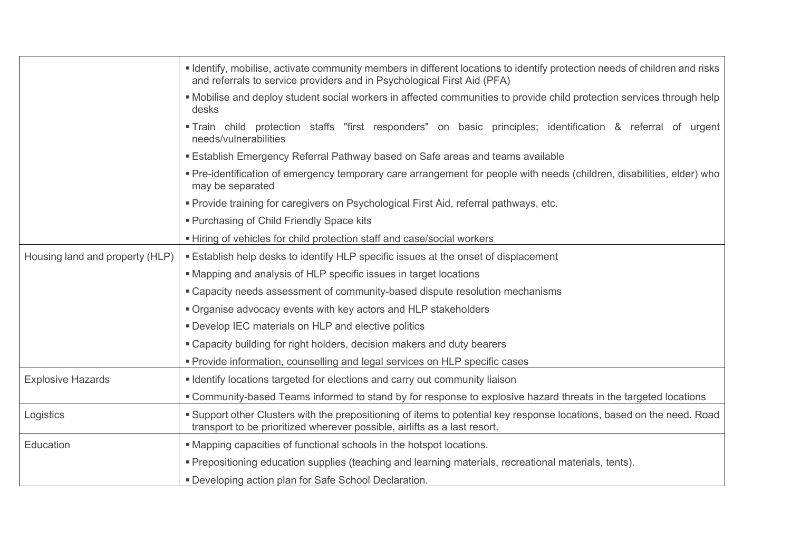|                                                                                                                 | I dentify, mobilise, activate community members in different locations to identify protection needs of children and risks<br>and referrals to service providers and in Psychological First Aid (PFA) |  |  |  |
|-----------------------------------------------------------------------------------------------------------------|------------------------------------------------------------------------------------------------------------------------------------------------------------------------------------------------------|--|--|--|
|                                                                                                                 | • Mobilise and deploy student social workers in affected communities to provide child protection services through help<br>desks                                                                      |  |  |  |
|                                                                                                                 | Train child protection staffs "first responders" on basic principles; identification & referral of urgent<br>needs/vulnerabilities                                                                   |  |  |  |
|                                                                                                                 | <b>Establish Emergency Referral Pathway based on Safe areas and teams available</b>                                                                                                                  |  |  |  |
|                                                                                                                 | • Pre-identification of emergency temporary care arrangement for people with needs (children, disabilities, elder) who<br>may be separated                                                           |  |  |  |
|                                                                                                                 | • Provide training for caregivers on Psychological First Aid, referral pathways, etc.                                                                                                                |  |  |  |
|                                                                                                                 | " Purchasing of Child Friendly Space kits                                                                                                                                                            |  |  |  |
| - Hiring of vehicles for child protection staff and case/social workers                                         |                                                                                                                                                                                                      |  |  |  |
| Housing land and property (HLP)                                                                                 | <b>Establish help desks to identify HLP specific issues at the onset of displacement</b>                                                                                                             |  |  |  |
|                                                                                                                 | " Mapping and analysis of HLP specific issues in target locations                                                                                                                                    |  |  |  |
|                                                                                                                 | • Capacity needs assessment of community-based dispute resolution mechanisms                                                                                                                         |  |  |  |
|                                                                                                                 | • Organise advocacy events with key actors and HLP stakeholders                                                                                                                                      |  |  |  |
|                                                                                                                 | <b>• Develop IEC materials on HLP and elective politics</b>                                                                                                                                          |  |  |  |
|                                                                                                                 | " Capacity building for right holders, decision makers and duty bearers                                                                                                                              |  |  |  |
|                                                                                                                 | " Provide information, counselling and legal services on HLP specific cases                                                                                                                          |  |  |  |
| <b>Explosive Hazards</b>                                                                                        | I dentify locations targeted for elections and carry out community liaison                                                                                                                           |  |  |  |
| " Community-based Teams informed to stand by for response to explosive hazard threats in the targeted locations |                                                                                                                                                                                                      |  |  |  |
| Logistics                                                                                                       | Support other Clusters with the prepositioning of items to potential key response locations, based on the need. Road<br>transport to be prioritized wherever possible, airlifts as a last resort.    |  |  |  |
| Education                                                                                                       | • Mapping capacities of functional schools in the hotspot locations.                                                                                                                                 |  |  |  |
|                                                                                                                 | . Prepositioning education supplies (teaching and learning materials, recreational materials, tents).                                                                                                |  |  |  |
|                                                                                                                 | " Developing action plan for Safe School Declaration.                                                                                                                                                |  |  |  |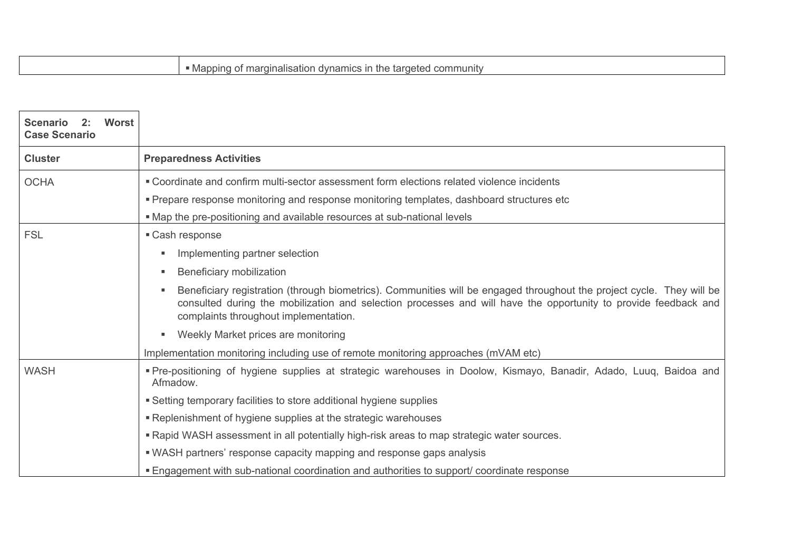| <b>Worst</b><br>Scenario 2:<br><b>Case Scenario</b> |                                                                                                                                                                                                                                                                                   |  |
|-----------------------------------------------------|-----------------------------------------------------------------------------------------------------------------------------------------------------------------------------------------------------------------------------------------------------------------------------------|--|
| <b>Cluster</b>                                      | <b>Preparedness Activities</b>                                                                                                                                                                                                                                                    |  |
| <b>OCHA</b>                                         | . Coordinate and confirm multi-sector assessment form elections related violence incidents                                                                                                                                                                                        |  |
|                                                     | " Prepare response monitoring and response monitoring templates, dashboard structures etc                                                                                                                                                                                         |  |
|                                                     | • Map the pre-positioning and available resources at sub-national levels                                                                                                                                                                                                          |  |
| <b>FSL</b>                                          | ■ Cash response                                                                                                                                                                                                                                                                   |  |
|                                                     | Implementing partner selection<br>٠                                                                                                                                                                                                                                               |  |
|                                                     | Beneficiary mobilization<br>п.                                                                                                                                                                                                                                                    |  |
|                                                     | Beneficiary registration (through biometrics). Communities will be engaged throughout the project cycle. They will be<br>consulted during the mobilization and selection processes and will have the opportunity to provide feedback and<br>complaints throughout implementation. |  |
|                                                     | Weekly Market prices are monitoring                                                                                                                                                                                                                                               |  |
|                                                     | Implementation monitoring including use of remote monitoring approaches (mVAM etc)                                                                                                                                                                                                |  |
| <b>WASH</b>                                         | Pre-positioning of hygiene supplies at strategic warehouses in Doolow, Kismayo, Banadir, Adado, Luuq, Baidoa and<br>Afmadow.                                                                                                                                                      |  |
|                                                     | • Setting temporary facilities to store additional hygiene supplies                                                                                                                                                                                                               |  |
|                                                     | • Replenishment of hygiene supplies at the strategic warehouses                                                                                                                                                                                                                   |  |
|                                                     | . Rapid WASH assessment in all potentially high-risk areas to map strategic water sources.                                                                                                                                                                                        |  |
|                                                     | " WASH partners' response capacity mapping and response gaps analysis                                                                                                                                                                                                             |  |
|                                                     | <b>Engagement with sub-national coordination and authorities to support/ coordinate response</b>                                                                                                                                                                                  |  |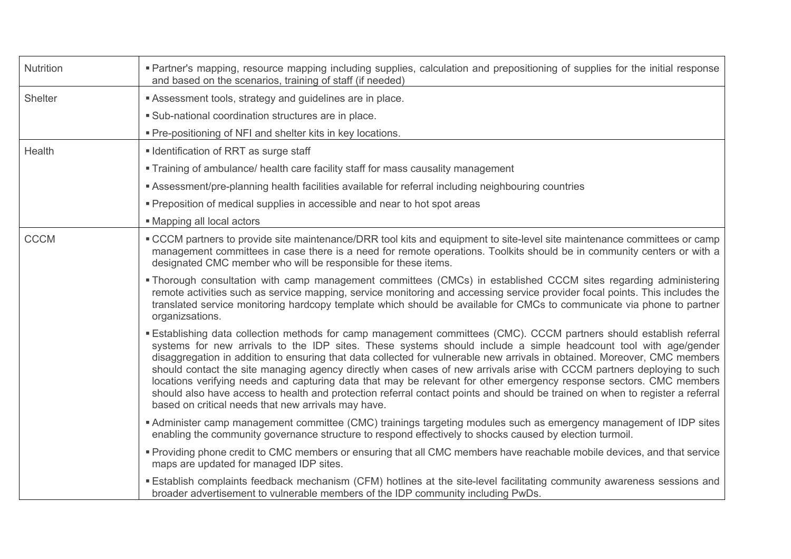| Nutrition   | " Partner's mapping, resource mapping including supplies, calculation and prepositioning of supplies for the initial response<br>and based on the scenarios, training of staff (if needed)                                                                                                                                                                                                                                                                                                                                                                                                                                                                                                                                                                                                                  |  |  |
|-------------|-------------------------------------------------------------------------------------------------------------------------------------------------------------------------------------------------------------------------------------------------------------------------------------------------------------------------------------------------------------------------------------------------------------------------------------------------------------------------------------------------------------------------------------------------------------------------------------------------------------------------------------------------------------------------------------------------------------------------------------------------------------------------------------------------------------|--|--|
| Shelter     | Assessment tools, strategy and guidelines are in place.                                                                                                                                                                                                                                                                                                                                                                                                                                                                                                                                                                                                                                                                                                                                                     |  |  |
|             | • Sub-national coordination structures are in place.                                                                                                                                                                                                                                                                                                                                                                                                                                                                                                                                                                                                                                                                                                                                                        |  |  |
|             | • Pre-positioning of NFI and shelter kits in key locations.                                                                                                                                                                                                                                                                                                                                                                                                                                                                                                                                                                                                                                                                                                                                                 |  |  |
| Health      | I Identification of RRT as surge staff                                                                                                                                                                                                                                                                                                                                                                                                                                                                                                                                                                                                                                                                                                                                                                      |  |  |
|             | • Training of ambulance/ health care facility staff for mass causality management                                                                                                                                                                                                                                                                                                                                                                                                                                                                                                                                                                                                                                                                                                                           |  |  |
|             | <b>Assessment/pre-planning health facilities available for referral including neighbouring countries</b>                                                                                                                                                                                                                                                                                                                                                                                                                                                                                                                                                                                                                                                                                                    |  |  |
|             | • Preposition of medical supplies in accessible and near to hot spot areas                                                                                                                                                                                                                                                                                                                                                                                                                                                                                                                                                                                                                                                                                                                                  |  |  |
|             | • Mapping all local actors                                                                                                                                                                                                                                                                                                                                                                                                                                                                                                                                                                                                                                                                                                                                                                                  |  |  |
| <b>CCCM</b> | • CCCM partners to provide site maintenance/DRR tool kits and equipment to site-level site maintenance committees or camp<br>management committees in case there is a need for remote operations. Toolkits should be in community centers or with a<br>designated CMC member who will be responsible for these items.                                                                                                                                                                                                                                                                                                                                                                                                                                                                                       |  |  |
|             | • Thorough consultation with camp management committees (CMCs) in established CCCM sites regarding administering<br>remote activities such as service mapping, service monitoring and accessing service provider focal points. This includes the<br>translated service monitoring hardcopy template which should be available for CMCs to communicate via phone to partner<br>organizsations.                                                                                                                                                                                                                                                                                                                                                                                                               |  |  |
|             | Establishing data collection methods for camp management committees (CMC). CCCM partners should establish referral<br>systems for new arrivals to the IDP sites. These systems should include a simple headcount tool with age/gender<br>disaggregation in addition to ensuring that data collected for vulnerable new arrivals in obtained. Moreover, CMC members<br>should contact the site managing agency directly when cases of new arrivals arise with CCCM partners deploying to such<br>locations verifying needs and capturing data that may be relevant for other emergency response sectors. CMC members<br>should also have access to health and protection referral contact points and should be trained on when to register a referral<br>based on critical needs that new arrivals may have. |  |  |
|             | Administer camp management committee (CMC) trainings targeting modules such as emergency management of IDP sites<br>enabling the community governance structure to respond effectively to shocks caused by election turmoil.                                                                                                                                                                                                                                                                                                                                                                                                                                                                                                                                                                                |  |  |
|             | • Providing phone credit to CMC members or ensuring that all CMC members have reachable mobile devices, and that service<br>maps are updated for managed IDP sites.                                                                                                                                                                                                                                                                                                                                                                                                                                                                                                                                                                                                                                         |  |  |
|             | <b>Establish complaints feedback mechanism (CFM) hotlines at the site-level facilitating community awareness sessions and</b><br>broader advertisement to vulnerable members of the IDP community including PwDs.                                                                                                                                                                                                                                                                                                                                                                                                                                                                                                                                                                                           |  |  |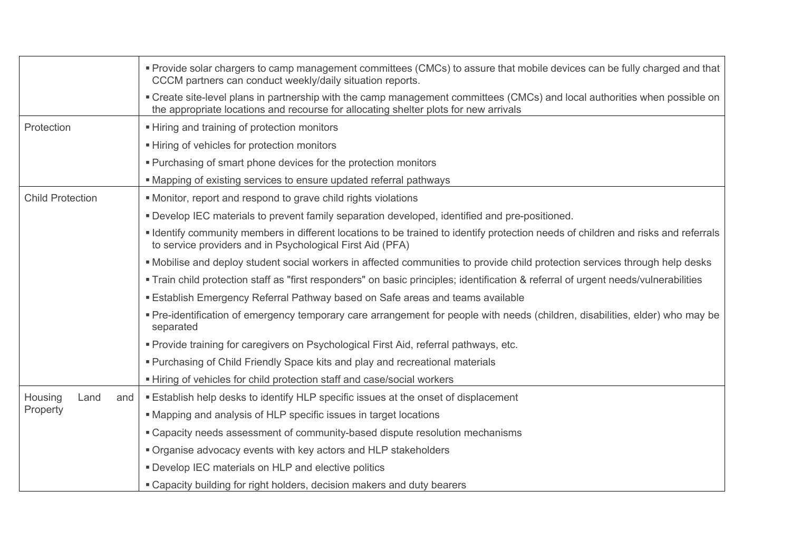|                         | • Provide solar chargers to camp management committees (CMCs) to assure that mobile devices can be fully charged and that<br>CCCM partners can conduct weekly/daily situation reports.                             |  |  |
|-------------------------|--------------------------------------------------------------------------------------------------------------------------------------------------------------------------------------------------------------------|--|--|
|                         | • Create site-level plans in partnership with the camp management committees (CMCs) and local authorities when possible on<br>the appropriate locations and recourse for allocating shelter plots for new arrivals |  |  |
| Protection              | - Hiring and training of protection monitors                                                                                                                                                                       |  |  |
|                         | ■ Hiring of vehicles for protection monitors                                                                                                                                                                       |  |  |
|                         | • Purchasing of smart phone devices for the protection monitors                                                                                                                                                    |  |  |
|                         | • Mapping of existing services to ensure updated referral pathways                                                                                                                                                 |  |  |
| <b>Child Protection</b> | • Monitor, report and respond to grave child rights violations                                                                                                                                                     |  |  |
|                         | . Develop IEC materials to prevent family separation developed, identified and pre-positioned.                                                                                                                     |  |  |
|                         | I dentify community members in different locations to be trained to identify protection needs of children and risks and referrals<br>to service providers and in Psychological First Aid (PFA)                     |  |  |
|                         | . Mobilise and deploy student social workers in affected communities to provide child protection services through help desks                                                                                       |  |  |
|                         | • Train child protection staff as "first responders" on basic principles; identification & referral of urgent needs/vulnerabilities                                                                                |  |  |
|                         | <b>Establish Emergency Referral Pathway based on Safe areas and teams available</b>                                                                                                                                |  |  |
|                         | • Pre-identification of emergency temporary care arrangement for people with needs (children, disabilities, elder) who may be<br>separated                                                                         |  |  |
|                         | " Provide training for caregivers on Psychological First Aid, referral pathways, etc.                                                                                                                              |  |  |
|                         | • Purchasing of Child Friendly Space kits and play and recreational materials                                                                                                                                      |  |  |
|                         | - Hiring of vehicles for child protection staff and case/social workers                                                                                                                                            |  |  |
| Housing<br>Land<br>and  | <b>Establish help desks to identify HLP specific issues at the onset of displacement</b>                                                                                                                           |  |  |
| Property                | • Mapping and analysis of HLP specific issues in target locations                                                                                                                                                  |  |  |
|                         | • Capacity needs assessment of community-based dispute resolution mechanisms                                                                                                                                       |  |  |
|                         | " Organise advocacy events with key actors and HLP stakeholders                                                                                                                                                    |  |  |
|                         | . Develop IEC materials on HLP and elective politics                                                                                                                                                               |  |  |
|                         | • Capacity building for right holders, decision makers and duty bearers                                                                                                                                            |  |  |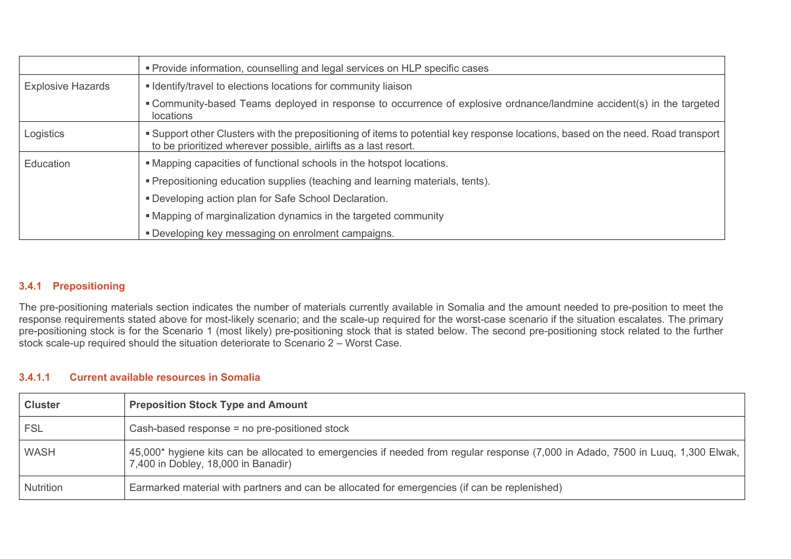|                          | • Provide information, counselling and legal services on HLP specific cases                                                                                                                         |  |  |
|--------------------------|-----------------------------------------------------------------------------------------------------------------------------------------------------------------------------------------------------|--|--|
| <b>Explosive Hazards</b> | • Identify/travel to elections locations for community liaison                                                                                                                                      |  |  |
|                          | • Community-based Teams deployed in response to occurrence of explosive ordnance/landmine accident(s) in the targeted<br>locations                                                                  |  |  |
| Logistics                | • Support other Clusters with the prepositioning of items to potential key response locations, based on the need. Road transport<br>to be prioritized wherever possible, airlifts as a last resort. |  |  |
| Education                | . Mapping capacities of functional schools in the hotspot locations.                                                                                                                                |  |  |
|                          | " Prepositioning education supplies (teaching and learning materials, tents).                                                                                                                       |  |  |
|                          | " Developing action plan for Safe School Declaration.                                                                                                                                               |  |  |
|                          | • Mapping of marginalization dynamics in the targeted community                                                                                                                                     |  |  |
|                          | <b>• Developing key messaging on enrolment campaigns.</b>                                                                                                                                           |  |  |

## **3.4.1 Prepositioning**

The pre-positioning materials section indicates the number of materials currently available in Somalia and the amount needed to pre-position to meet the response requirements stated above for most-likely scenario; and the scale-up required for the worst-case scenario if the situation escalates. The primary pre-positioning stock is for the Scenario 1 (most likely) pre-positioning stock that is stated below. The second pre-positioning stock related to the further stock scale-up required should the situation deteriorate to Scenario 2 – Worst Case.

#### **3.4.1.1 Current available resources in Somalia**

| <b>Cluster</b> | <b>Preposition Stock Type and Amount</b>                                                                                                                                |
|----------------|-------------------------------------------------------------------------------------------------------------------------------------------------------------------------|
| <b>FSL</b>     | Cash-based response = no pre-positioned stock                                                                                                                           |
| <b>WASH</b>    | 45,000* hygiene kits can be allocated to emergencies if needed from regular response (7,000 in Adado, 7500 in Luuq, 1,300 Elwak,<br>7,400 in Dobley, 18,000 in Banadir) |
| Nutrition      | Earmarked material with partners and can be allocated for emergencies (if can be replenished)                                                                           |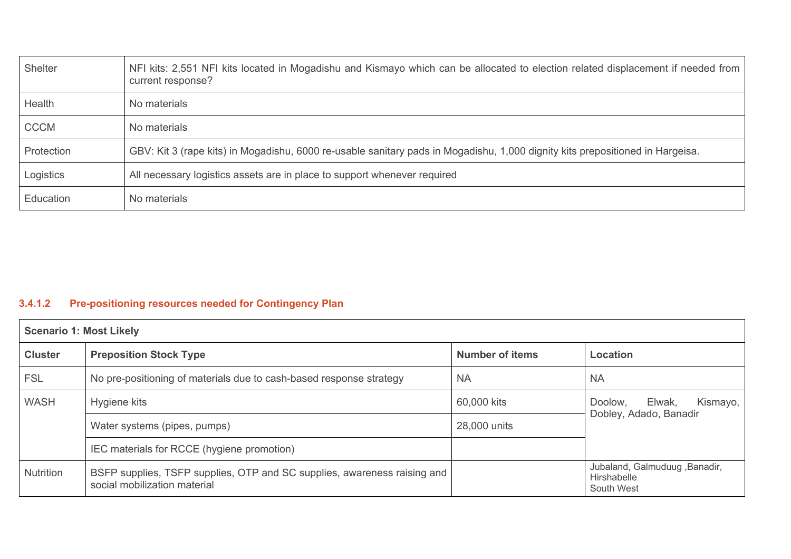| Shelter     | NFI kits: 2,551 NFI kits located in Mogadishu and Kismayo which can be allocated to election related displacement if needed from<br>current response? |
|-------------|-------------------------------------------------------------------------------------------------------------------------------------------------------|
| Health      | No materials                                                                                                                                          |
| <b>CCCM</b> | No materials                                                                                                                                          |
| Protection  | GBV: Kit 3 (rape kits) in Mogadishu, 6000 re-usable sanitary pads in Mogadishu, 1,000 dignity kits prepositioned in Hargeisa.                         |
| Logistics   | All necessary logistics assets are in place to support whenever required                                                                              |
| Education   | No materials                                                                                                                                          |

## **3.4.1.2 Pre-positioning resources needed for Contingency Plan**

| <b>Scenario 1: Most Likely</b> |                                                                                                          |                        |                                                            |  |
|--------------------------------|----------------------------------------------------------------------------------------------------------|------------------------|------------------------------------------------------------|--|
| <b>Cluster</b>                 | <b>Preposition Stock Type</b>                                                                            | <b>Number of items</b> | Location                                                   |  |
| <b>FSL</b>                     | No pre-positioning of materials due to cash-based response strategy                                      | <b>NA</b>              | <b>NA</b>                                                  |  |
| WASH                           | Hygiene kits                                                                                             | 60,000 kits            | Kismayo,<br>Doolow,<br>Elwak,                              |  |
|                                | Water systems (pipes, pumps)                                                                             | 28,000 units           | Dobley, Adado, Banadir                                     |  |
|                                | IEC materials for RCCE (hygiene promotion)                                                               |                        |                                                            |  |
| <b>Nutrition</b>               | BSFP supplies, TSFP supplies, OTP and SC supplies, awareness raising and<br>social mobilization material |                        | Jubaland, Galmuduug, Banadir,<br>Hirshabelle<br>South West |  |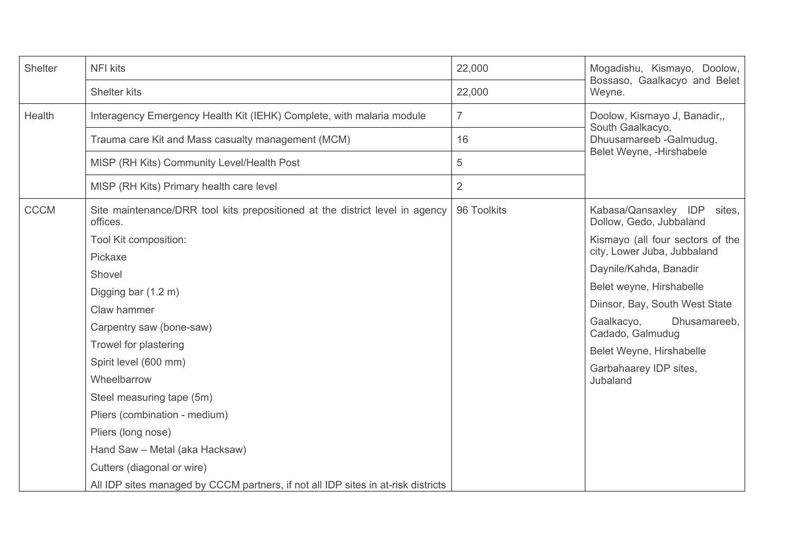| Shelter     | <b>NFI kits</b>                                                                          | 22,000         | Mogadishu, Kismayo, Doolow,                                     |  |  |
|-------------|------------------------------------------------------------------------------------------|----------------|-----------------------------------------------------------------|--|--|
|             | Shelter kits                                                                             | 22,000         | Bossaso, Gaalkacyo and Belet<br>Weyne.                          |  |  |
| Health      | Interagency Emergency Health Kit (IEHK) Complete, with malaria module                    | $\overline{7}$ | Doolow, Kismayo J, Banadir,,                                    |  |  |
|             | Trauma care Kit and Mass casualty management (MCM)                                       | 16             | South Gaalkacyo,<br>Dhuusamareeb - Galmudug,                    |  |  |
|             | MISP (RH Kits) Community Level/Health Post                                               | 5              | Belet Weyne, -Hirshabele                                        |  |  |
|             | MISP (RH Kits) Primary health care level                                                 | $\overline{2}$ |                                                                 |  |  |
| <b>CCCM</b> | Site maintenance/DRR tool kits prepositioned at the district level in agency<br>offices. | 96 Toolkits    | Kabasa/Qansaxley IDP<br>sites,<br>Dollow, Gedo, Jubbaland       |  |  |
|             | Tool Kit composition:                                                                    |                | Kismayo (all four sectors of the<br>city, Lower Juba, Jubbaland |  |  |
|             | Pickaxe                                                                                  |                |                                                                 |  |  |
|             | Shovel                                                                                   |                | Daynile/Kahda, Banadir                                          |  |  |
|             | Digging bar (1.2 m)                                                                      |                | Belet weyne, Hirshabelle                                        |  |  |
|             | Claw hammer                                                                              |                | Diinsor, Bay, South West State                                  |  |  |
|             | Carpentry saw (bone-saw)                                                                 |                | Gaalkacyo,<br>Dhusamareeb,<br>Cadado, Galmudug                  |  |  |
|             | Trowel for plastering                                                                    |                | Belet Weyne, Hirshabelle                                        |  |  |
|             | Spirit level (600 mm)                                                                    |                | Garbahaarey IDP sites,                                          |  |  |
|             | Wheelbarrow                                                                              |                | Jubaland                                                        |  |  |
|             | Steel measuring tape (5m)                                                                |                |                                                                 |  |  |
|             | Pliers (combination - medium)                                                            |                |                                                                 |  |  |
|             | Pliers (long nose)                                                                       |                |                                                                 |  |  |
|             | Hand Saw - Metal (aka Hacksaw)                                                           |                |                                                                 |  |  |
|             | Cutters (diagonal or wire)                                                               |                |                                                                 |  |  |
|             | All IDP sites managed by CCCM partners, if not all IDP sites in at-risk districts        |                |                                                                 |  |  |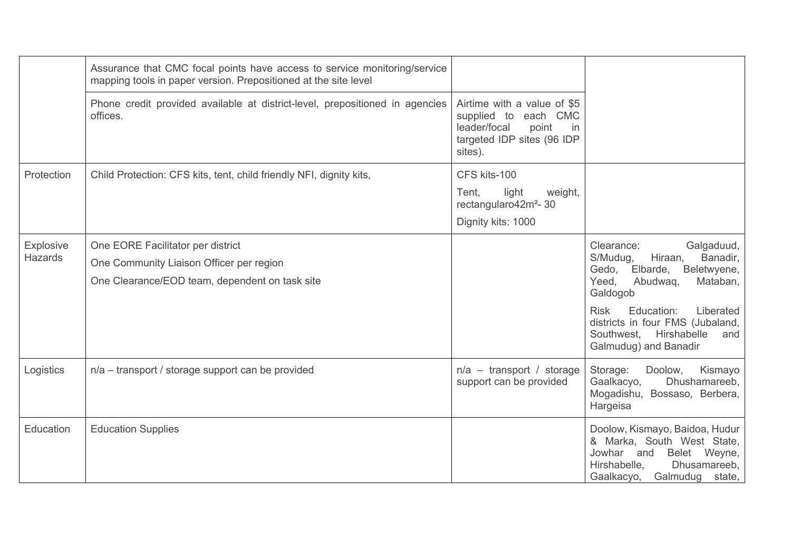|                                    | Assurance that CMC focal points have access to service monitoring/service<br>mapping tools in paper version. Prepositioned at the site level |                                                                                                                             |                                                                                                                                                                                     |
|------------------------------------|----------------------------------------------------------------------------------------------------------------------------------------------|-----------------------------------------------------------------------------------------------------------------------------|-------------------------------------------------------------------------------------------------------------------------------------------------------------------------------------|
|                                    | Phone credit provided available at district-level, prepositioned in agencies<br>offices.                                                     | Airtime with a value of \$5<br>supplied to each CMC<br>leader/focal<br>point<br>in<br>targeted IDP sites (96 IDP<br>sites). |                                                                                                                                                                                     |
| Protection                         | Child Protection: CFS kits, tent, child friendly NFI, dignity kits,                                                                          | CFS kits-100                                                                                                                |                                                                                                                                                                                     |
|                                    |                                                                                                                                              | light<br>weight,<br>Tent,<br>rectangularo42m <sup>2</sup> -30                                                               |                                                                                                                                                                                     |
|                                    |                                                                                                                                              | Dignity kits: 1000                                                                                                          |                                                                                                                                                                                     |
| <b>Explosive</b><br><b>Hazards</b> | One EORE Facilitator per district<br>One Community Liaison Officer per region<br>One Clearance/EOD team, dependent on task site              |                                                                                                                             | Galgaduud,<br>Clearance:<br>Banadir,<br>Hiraan,<br>S/Mudug,<br>Gedo, Elbarde,<br>Beletwyene,<br>Yeed,<br>Abudwaq,<br>Mataban,<br>Galdogob<br>Education:<br><b>Risk</b><br>Liberated |
|                                    |                                                                                                                                              |                                                                                                                             | districts in four FMS (Jubaland,<br>Southwest, Hirshabelle<br>and<br>Galmudug) and Banadir                                                                                          |
| Logistics                          | n/a - transport / storage support can be provided                                                                                            | $n/a$ – transport / storage<br>support can be provided                                                                      | Storage:<br>Doolow,<br>Kismayo<br>Dhushamareeb,<br>Gaalkacyo,<br>Mogadishu, Bossaso, Berbera,<br>Hargeisa                                                                           |
| Education                          | <b>Education Supplies</b>                                                                                                                    |                                                                                                                             | Doolow, Kismayo, Baidoa, Hudur<br>& Marka, South West State,<br>Jowhar and<br>Belet Weyne,<br>Dhusamareeb,<br>Hirshabelle,<br>Gaalkacyo, Galmudug state,                            |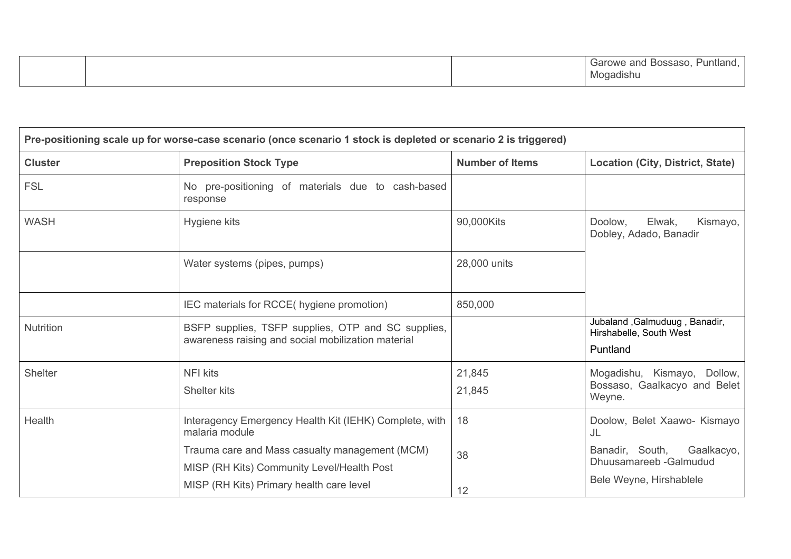| <b>Garowe</b><br>and<br>Puntland.<br>$\sim$<br>J088880.<br>.<br>Vloqadıshu |
|----------------------------------------------------------------------------|
|----------------------------------------------------------------------------|

| Pre-positioning scale up for worse-case scenario (once scenario 1 stock is depleted or scenario 2 is triggered) |                                                                                                          |                        |                                                                      |  |  |  |  |
|-----------------------------------------------------------------------------------------------------------------|----------------------------------------------------------------------------------------------------------|------------------------|----------------------------------------------------------------------|--|--|--|--|
| <b>Cluster</b>                                                                                                  | <b>Preposition Stock Type</b>                                                                            | <b>Number of Items</b> | <b>Location (City, District, State)</b>                              |  |  |  |  |
| <b>FSL</b>                                                                                                      | No pre-positioning of materials due to cash-based<br>response                                            |                        |                                                                      |  |  |  |  |
| <b>WASH</b>                                                                                                     | Hygiene kits                                                                                             | 90,000Kits             | Elwak,<br>Doolow,<br>Kismayo,<br>Dobley, Adado, Banadir              |  |  |  |  |
|                                                                                                                 | Water systems (pipes, pumps)                                                                             | 28,000 units           |                                                                      |  |  |  |  |
|                                                                                                                 | IEC materials for RCCE( hygiene promotion)                                                               | 850,000                |                                                                      |  |  |  |  |
| Nutrition                                                                                                       | BSFP supplies, TSFP supplies, OTP and SC supplies,<br>awareness raising and social mobilization material |                        | Jubaland, Galmuduug, Banadir,<br>Hirshabelle, South West<br>Puntland |  |  |  |  |
| <b>Shelter</b>                                                                                                  | <b>NFI kits</b>                                                                                          | 21,845                 | Mogadishu, Kismayo, Dollow,                                          |  |  |  |  |
|                                                                                                                 | Shelter kits                                                                                             | 21,845                 | Bossaso, Gaalkacyo and Belet<br>Weyne.                               |  |  |  |  |
| Health                                                                                                          | Interagency Emergency Health Kit (IEHK) Complete, with<br>malaria module                                 | 18                     | Doolow, Belet Xaawo- Kismayo<br>JL                                   |  |  |  |  |
|                                                                                                                 | Trauma care and Mass casualty management (MCM)                                                           | 38                     | Banadir, South,<br>Gaalkacyo,<br>Dhuusamareeb - Galmudud             |  |  |  |  |
|                                                                                                                 | MISP (RH Kits) Community Level/Health Post<br>MISP (RH Kits) Primary health care level                   | 12                     | Bele Weyne, Hirshablele                                              |  |  |  |  |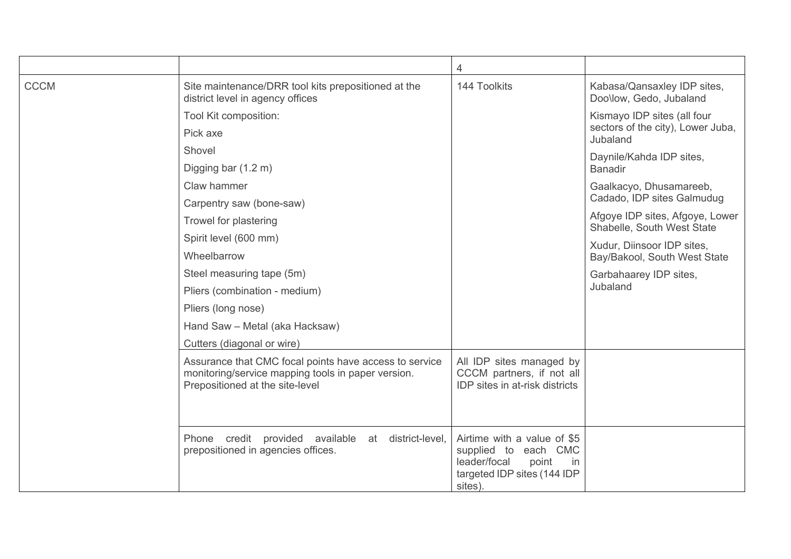|             |                                                                                                                                                 | 4                                                                                                                            |                                                                              |
|-------------|-------------------------------------------------------------------------------------------------------------------------------------------------|------------------------------------------------------------------------------------------------------------------------------|------------------------------------------------------------------------------|
| <b>CCCM</b> | Site maintenance/DRR tool kits prepositioned at the<br>district level in agency offices                                                         | 144 Toolkits                                                                                                                 | Kabasa/Qansaxley IDP sites,<br>Doo\low, Gedo, Jubaland                       |
|             | Tool Kit composition:<br>Pick axe                                                                                                               |                                                                                                                              | Kismayo IDP sites (all four<br>sectors of the city), Lower Juba,<br>Jubaland |
|             | Shovel                                                                                                                                          |                                                                                                                              | Daynile/Kahda IDP sites,                                                     |
|             | Digging bar (1.2 m)                                                                                                                             |                                                                                                                              | <b>Banadir</b>                                                               |
|             | Claw hammer                                                                                                                                     |                                                                                                                              | Gaalkacyo, Dhusamareeb,<br>Cadado, IDP sites Galmudug                        |
|             | Carpentry saw (bone-saw)                                                                                                                        |                                                                                                                              |                                                                              |
|             | Trowel for plastering                                                                                                                           |                                                                                                                              | Afgoye IDP sites, Afgoye, Lower<br>Shabelle, South West State                |
|             | Spirit level (600 mm)<br>Wheelbarrow                                                                                                            |                                                                                                                              | Xudur, Diinsoor IDP sites,<br>Bay/Bakool, South West State                   |
|             | Steel measuring tape (5m)                                                                                                                       |                                                                                                                              | Garbahaarey IDP sites,<br>Jubaland                                           |
|             | Pliers (combination - medium)                                                                                                                   |                                                                                                                              |                                                                              |
|             | Pliers (long nose)                                                                                                                              |                                                                                                                              |                                                                              |
|             | Hand Saw - Metal (aka Hacksaw)                                                                                                                  |                                                                                                                              |                                                                              |
|             | Cutters (diagonal or wire)                                                                                                                      |                                                                                                                              |                                                                              |
|             | Assurance that CMC focal points have access to service<br>monitoring/service mapping tools in paper version.<br>Prepositioned at the site-level | All IDP sites managed by<br>CCCM partners, if not all<br>IDP sites in at-risk districts                                      |                                                                              |
|             | Phone credit provided available at<br>district-level,<br>prepositioned in agencies offices.                                                     | Airtime with a value of \$5<br>supplied to each CMC<br>leader/focal<br>point<br>in<br>targeted IDP sites (144 IDP<br>sites). |                                                                              |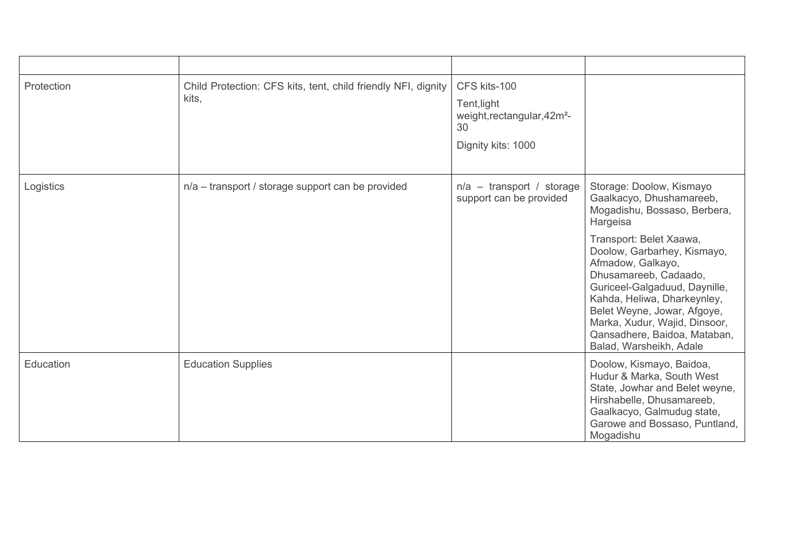| Protection | Child Protection: CFS kits, tent, child friendly NFI, dignity<br>kits, | CFS kits-100<br>Tent, light<br>weight, rectangular, 42m <sup>2</sup> -<br>30<br>Dignity kits: 1000 |                                                                                                                                                                                                                                                                                                                                                                                                     |
|------------|------------------------------------------------------------------------|----------------------------------------------------------------------------------------------------|-----------------------------------------------------------------------------------------------------------------------------------------------------------------------------------------------------------------------------------------------------------------------------------------------------------------------------------------------------------------------------------------------------|
| Logistics  | n/a - transport / storage support can be provided                      | $n/a$ – transport / storage<br>support can be provided                                             | Storage: Doolow, Kismayo<br>Gaalkacyo, Dhushamareeb,<br>Mogadishu, Bossaso, Berbera,<br>Hargeisa<br>Transport: Belet Xaawa,<br>Doolow, Garbarhey, Kismayo,<br>Afmadow, Galkayo,<br>Dhusamareeb, Cadaado,<br>Guriceel-Galgaduud, Daynille,<br>Kahda, Heliwa, Dharkeynley,<br>Belet Weyne, Jowar, Afgoye,<br>Marka, Xudur, Wajid, Dinsoor,<br>Qansadhere, Baidoa, Mataban,<br>Balad, Warsheikh, Adale |
| Education  | <b>Education Supplies</b>                                              |                                                                                                    | Doolow, Kismayo, Baidoa,<br>Hudur & Marka, South West<br>State, Jowhar and Belet weyne,<br>Hirshabelle, Dhusamareeb,<br>Gaalkacyo, Galmudug state,<br>Garowe and Bossaso, Puntland,<br>Mogadishu                                                                                                                                                                                                    |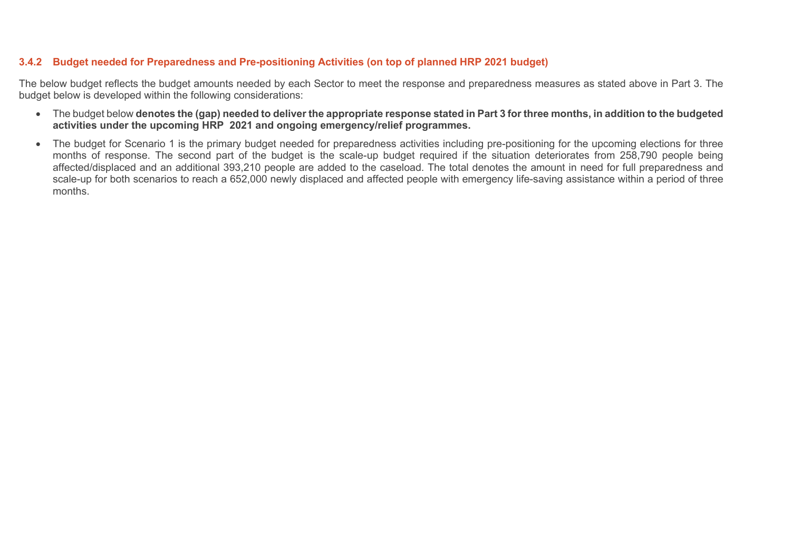## **3.4.2 Budget needed for Preparedness and Pre-positioning Activities (on top of planned HRP 2021 budget)**

The below budget reflects the budget amounts needed by each Sector to meet the response and preparedness measures as stated above in Part 3. The budget below is developed within the following considerations:

- The budget below **denotes the (gap) needed to deliver the appropriate response stated in Part 3 for three months, in addition to the budgeted activities under the upcoming HRP 2021 and ongoing emergency/relief programmes.**
- The budget for Scenario 1 is the primary budget needed for preparedness activities including pre-positioning for the upcoming elections for three months of response. The second part of the budget is the scale-up budget required if the situation deteriorates from 258,790 people being affected/displaced and an additional 393,210 people are added to the caseload. The total denotes the amount in need for full preparedness and scale-up for both scenarios to reach a 652,000 newly displaced and affected people with emergency life-saving assistance within a period of three months.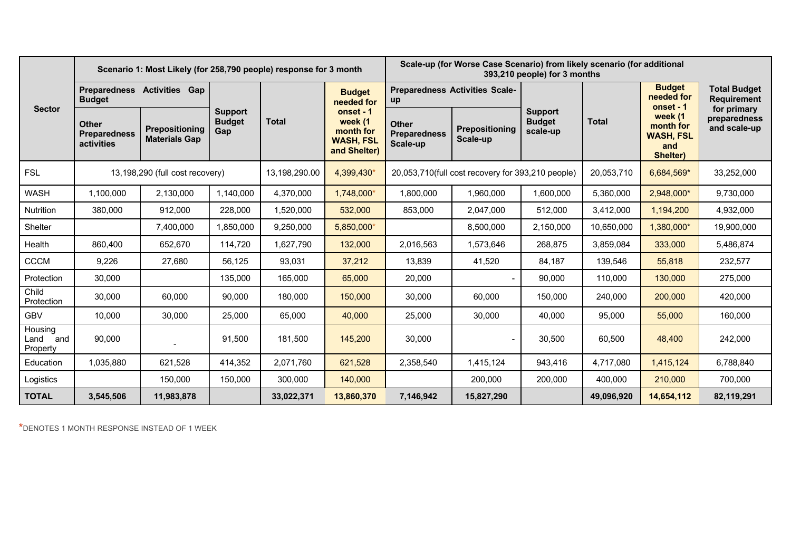|                                    | Scenario 1: Most Likely (for 258,790 people) response for 3 month |                                        |                                        |               | Scale-up (for Worse Case Scenario) from likely scenario (for additional<br>393,210 people) for 3 months |                                                   |                                   |                                             |              |                                                             |                                             |
|------------------------------------|-------------------------------------------------------------------|----------------------------------------|----------------------------------------|---------------|---------------------------------------------------------------------------------------------------------|---------------------------------------------------|-----------------------------------|---------------------------------------------|--------------|-------------------------------------------------------------|---------------------------------------------|
| <b>Sector</b>                      | Preparedness Activities Gap<br><b>Budget</b>                      |                                        |                                        |               | <b>Budget</b><br>needed for                                                                             | <b>Preparedness Activities Scale-</b><br>up       |                                   |                                             |              | <b>Budget</b><br>needed for<br>onset - 1                    | <b>Total Budget</b><br><b>Requirement</b>   |
|                                    | <b>Other</b><br><b>Preparedness</b><br>activities                 | Prepositioning<br><b>Materials Gap</b> | <b>Support</b><br><b>Budget</b><br>Gap | <b>Total</b>  | onset - 1<br>week (1<br>month for<br><b>WASH, FSL</b><br>and Shelter)                                   | <b>Other</b><br><b>Preparedness</b><br>Scale-up   | <b>Prepositioning</b><br>Scale-up | <b>Support</b><br><b>Budget</b><br>scale-up | <b>Total</b> | week (1<br>month for<br><b>WASH, FSL</b><br>and<br>Shelter) | for primary<br>preparedness<br>and scale-up |
| <b>FSL</b>                         |                                                                   | 13,198,290 (full cost recovery)        |                                        | 13,198,290.00 | 4,399,430*                                                                                              | 20,053,710(full cost recovery for 393,210 people) |                                   | 20,053,710                                  | 6,684,569*   | 33,252,000                                                  |                                             |
| <b>WASH</b>                        | 1.100.000                                                         | 2,130,000                              | 1,140,000                              | 4,370,000     | 1,748,000*                                                                                              | 1,800,000                                         | 1,960,000                         | 1,600,000                                   | 5,360,000    | 2,948,000*                                                  | 9,730,000                                   |
| Nutrition                          | 380,000                                                           | 912,000                                | 228,000                                | 1,520,000     | 532,000                                                                                                 | 853,000                                           | 2,047,000                         | 512,000                                     | 3,412,000    | 1,194,200                                                   | 4,932,000                                   |
| Shelter                            |                                                                   | 7,400,000                              | 1,850,000                              | 9,250,000     | 5,850,000*                                                                                              |                                                   | 8,500,000                         | 2,150,000                                   | 10,650,000   | 1,380,000*                                                  | 19,900,000                                  |
| Health                             | 860.400                                                           | 652,670                                | 114,720                                | 1,627,790     | 132,000                                                                                                 | 2,016,563                                         | 1,573,646                         | 268,875                                     | 3,859,084    | 333,000                                                     | 5,486,874                                   |
| <b>CCCM</b>                        | 9,226                                                             | 27,680                                 | 56,125                                 | 93,031        | 37,212                                                                                                  | 13,839                                            | 41,520                            | 84,187                                      | 139,546      | 55,818                                                      | 232,577                                     |
| Protection                         | 30,000                                                            |                                        | 135.000                                | 165,000       | 65,000                                                                                                  | 20,000                                            |                                   | 90,000                                      | 110,000      | 130,000                                                     | 275,000                                     |
| Child<br>Protection                | 30,000                                                            | 60,000                                 | 90,000                                 | 180,000       | 150,000                                                                                                 | 30,000                                            | 60,000                            | 150,000                                     | 240,000      | 200,000                                                     | 420,000                                     |
| <b>GBV</b>                         | 10,000                                                            | 30,000                                 | 25,000                                 | 65,000        | 40,000                                                                                                  | 25,000                                            | 30,000                            | 40,000                                      | 95,000       | 55,000                                                      | 160,000                                     |
| Housing<br>Land<br>and<br>Property | 90,000                                                            |                                        | 91,500                                 | 181,500       | 145,200                                                                                                 | 30,000                                            |                                   | 30,500                                      | 60,500       | 48,400                                                      | 242,000                                     |
| Education                          | 1,035,880                                                         | 621,528                                | 414,352                                | 2,071,760     | 621,528                                                                                                 | 2,358,540                                         | 1,415,124                         | 943,416                                     | 4,717,080    | 1,415,124                                                   | 6,788,840                                   |
| Logistics                          |                                                                   | 150,000                                | 150,000                                | 300,000       | 140,000                                                                                                 |                                                   | 200,000                           | 200,000                                     | 400,000      | 210,000                                                     | 700,000                                     |
| <b>TOTAL</b>                       | 3,545,506                                                         | 11,983,878                             |                                        | 33,022,371    | 13,860,370                                                                                              | 7,146,942                                         | 15,827,290                        |                                             | 49,096,920   | 14,654,112                                                  | 82,119,291                                  |

**\***DENOTES 1 MONTH RESPONSE INSTEAD OF 1 WEEK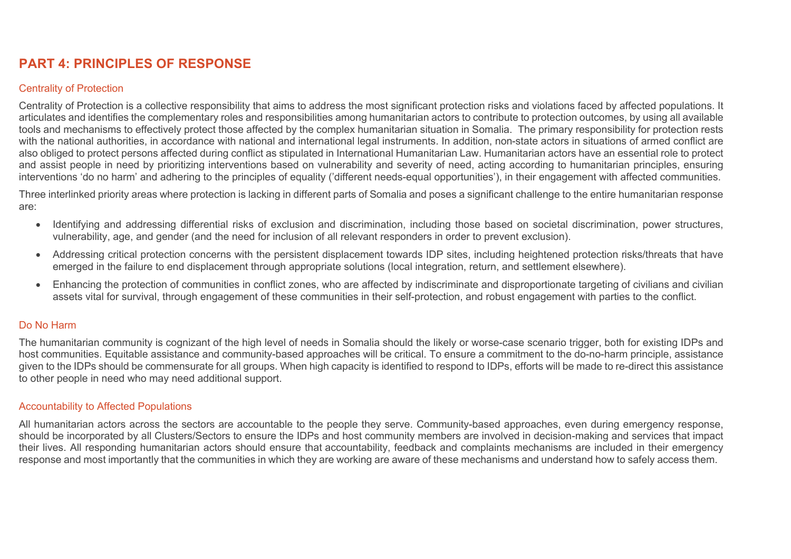# **PART 4: PRINCIPLES OF RESPONSE**

## Centrality of Protection

Centrality of Protection is a collective responsibility that aims to address the most significant protection risks and violations faced by affected populations. It articulates and identifies the complementary roles and responsibilities among humanitarian actors to contribute to protection outcomes, by using all available tools and mechanisms to effectively protect those affected by the complex humanitarian situation in Somalia. The primary responsibility for protection rests with the national authorities, in accordance with national and international legal instruments. In addition, non-state actors in situations of armed conflict are also obliged to protect persons affected during conflict as stipulated in International Humanitarian Law. Humanitarian actors have an essential role to protect and assist people in need by prioritizing interventions based on vulnerability and severity of need, acting according to humanitarian principles, ensuring interventions 'do no harm' and adhering to the principles of equality ('different needs-equal opportunities'), in their engagement with affected communities.

Three interlinked priority areas where protection is lacking in different parts of Somalia and poses a significant challenge to the entire humanitarian response are:

- Identifying and addressing differential risks of exclusion and discrimination, including those based on societal discrimination, power structures, vulnerability, age, and gender (and the need for inclusion of all relevant responders in order to prevent exclusion).
- Addressing critical protection concerns with the persistent displacement towards IDP sites, including heightened protection risks/threats that have emerged in the failure to end displacement through appropriate solutions (local integration, return, and settlement elsewhere).
- Enhancing the protection of communities in conflict zones, who are affected by indiscriminate and disproportionate targeting of civilians and civilian assets vital for survival, through engagement of these communities in their self-protection, and robust engagement with parties to the conflict.

## Do No Harm

The humanitarian community is cognizant of the high level of needs in Somalia should the likely or worse-case scenario trigger, both for existing IDPs and host communities. Equitable assistance and community-based approaches will be critical. To ensure a commitment to the do-no-harm principle, assistance given to the IDPs should be commensurate for all groups. When high capacity is identified to respond to IDPs, efforts will be made to re-direct this assistance to other people in need who may need additional support.

### Accountability to Affected Populations

All humanitarian actors across the sectors are accountable to the people they serve. Community-based approaches, even during emergency response, should be incorporated by all Clusters/Sectors to ensure the IDPs and host community members are involved in decision-making and services that impact their lives. All responding humanitarian actors should ensure that accountability, feedback and complaints mechanisms are included in their emergency response and most importantly that the communities in which they are working are aware of these mechanisms and understand how to safely access them.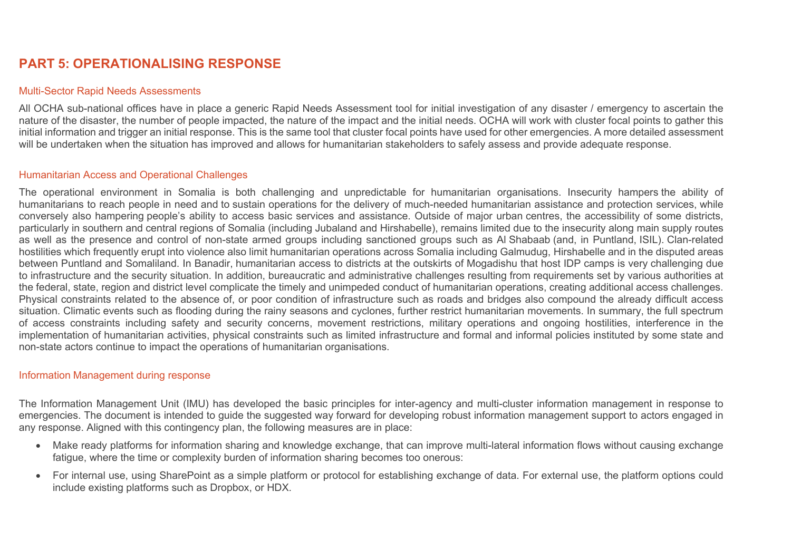# **PART 5: OPERATIONALISING RESPONSE**

#### Multi-Sector Rapid Needs Assessments

All OCHA sub-national offices have in place a generic Rapid Needs Assessment tool for initial investigation of any disaster / emergency to ascertain the nature of the disaster, the number of people impacted, the nature of the impact and the initial needs. OCHA will work with cluster focal points to gather this initial information and trigger an initial response. This is the same tool that cluster focal points have used for other emergencies. A more detailed assessment will be undertaken when the situation has improved and allows for humanitarian stakeholders to safely assess and provide adequate response.

### Humanitarian Access and Operational Challenges

The operational environment in Somalia is both challenging and unpredictable for humanitarian organisations. Insecurity hampers the ability of humanitarians to reach people in need and to sustain operations for the delivery of much-needed humanitarian assistance and protection services, while conversely also hampering people's ability to access basic services and assistance. Outside of major urban centres, the accessibility of some districts, particularly in southern and central regions of Somalia (including Jubaland and Hirshabelle), remains limited due to the insecurity along main supply routes as well as the presence and control of non-state armed groups including sanctioned groups such as Al Shabaab (and, in Puntland, ISIL). Clan-related hostilities which frequently erupt into violence also limit humanitarian operations across Somalia including Galmudug, Hirshabelle and in the disputed areas between Puntland and Somaliland. In Banadir, humanitarian access to districts at the outskirts of Mogadishu that host IDP camps is very challenging due to infrastructure and the security situation. In addition, bureaucratic and administrative challenges resulting from requirements set by various authorities at the federal, state, region and district level complicate the timely and unimpeded conduct of humanitarian operations, creating additional access challenges. Physical constraints related to the absence of, or poor condition of infrastructure such as roads and bridges also compound the already difficult access situation. Climatic events such as flooding during the rainy seasons and cyclones, further restrict humanitarian movements. In summary, the full spectrum of access constraints including safety and security concerns, movement restrictions, military operations and ongoing hostilities, interference in the implementation of humanitarian activities, physical constraints such as limited infrastructure and formal and informal policies instituted by some state and non-state actors continue to impact the operations of humanitarian organisations.

### Information Management during response

The Information Management Unit (IMU) has developed the basic principles for inter-agency and multi-cluster information management in response to emergencies. The document is intended to guide the suggested way forward for developing robust information management support to actors engaged in any response. Aligned with this contingency plan, the following measures are in place:

- Make ready platforms for information sharing and knowledge exchange, that can improve multi-lateral information flows without causing exchange fatigue, where the time or complexity burden of information sharing becomes too onerous:
- For internal use, using SharePoint as a simple platform or protocol for establishing exchange of data. For external use, the platform options could include existing platforms such as Dropbox, or HDX.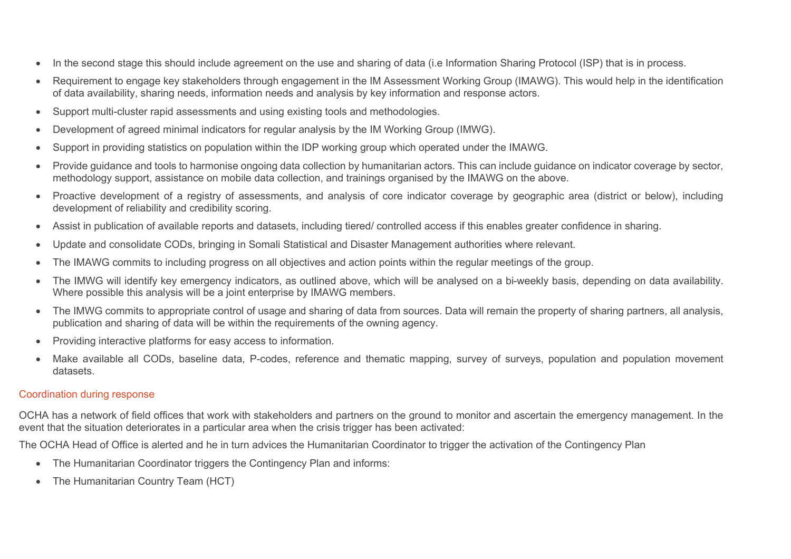- In the second stage this should include agreement on the use and sharing of data (i.e Information Sharing Protocol (ISP) that is in process.
- Requirement to engage key stakeholders through engagement in the IM Assessment Working Group (IMAWG). This would help in the identification of data availability, sharing needs, information needs and analysis by key information and response actors.
- Support multi-cluster rapid assessments and using existing tools and methodologies.
- Development of agreed minimal indicators for regular analysis by the IM Working Group (IMWG).
- Support in providing statistics on population within the IDP working group which operated under the IMAWG.
- Provide guidance and tools to harmonise ongoing data collection by humanitarian actors. This can include guidance on indicator coverage by sector, methodology support, assistance on mobile data collection, and trainings organised by the IMAWG on the above.
- Proactive development of a registry of assessments, and analysis of core indicator coverage by geographic area (district or below), including development of reliability and credibility scoring.
- Assist in publication of available reports and datasets, including tiered/ controlled access if this enables greater confidence in sharing.
- Update and consolidate CODs, bringing in Somali Statistical and Disaster Management authorities where relevant.
- The IMAWG commits to including progress on all objectives and action points within the regular meetings of the group.
- The IMWG will identify key emergency indicators, as outlined above, which will be analysed on a bi-weekly basis, depending on data availability. Where possible this analysis will be a joint enterprise by IMAWG members.
- The IMWG commits to appropriate control of usage and sharing of data from sources. Data will remain the property of sharing partners, all analysis, publication and sharing of data will be within the requirements of the owning agency.
- Providing interactive platforms for easy access to information.
- Make available all CODs, baseline data, P-codes, reference and thematic mapping, survey of surveys, population and population movement datasets.

## Coordination during response

OCHA has a network of field offices that work with stakeholders and partners on the ground to monitor and ascertain the emergency management. In the event that the situation deteriorates in a particular area when the crisis trigger has been activated:

The OCHA Head of Office is alerted and he in turn advices the Humanitarian Coordinator to trigger the activation of the Contingency Plan

- The Humanitarian Coordinator triggers the Contingency Plan and informs:
- The Humanitarian Country Team (HCT)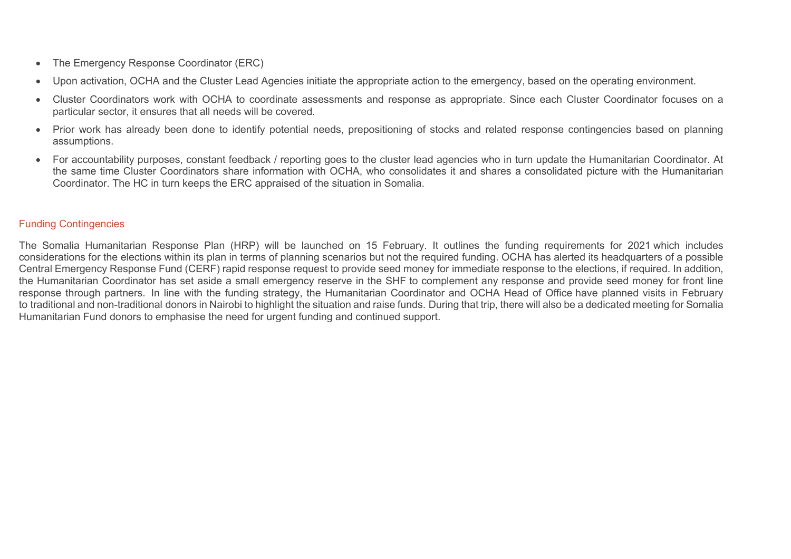- The Emergency Response Coordinator (ERC)
- Upon activation, OCHA and the Cluster Lead Agencies initiate the appropriate action to the emergency, based on the operating environment.
- Cluster Coordinators work with OCHA to coordinate assessments and response as appropriate. Since each Cluster Coordinator focuses on a particular sector, it ensures that all needs will be covered.
- Prior work has already been done to identify potential needs, prepositioning of stocks and related response contingencies based on planning assumptions.
- For accountability purposes, constant feedback / reporting goes to the cluster lead agencies who in turn update the Humanitarian Coordinator. At the same time Cluster Coordinators share information with OCHA, who consolidates it and shares a consolidated picture with the Humanitarian Coordinator. The HC in turn keeps the ERC appraised of the situation in Somalia.

## Funding Contingencies

The Somalia Humanitarian Response Plan (HRP) will be launched on 15 February. It outlines the funding requirements for 2021 which includes considerations for the elections within its plan in terms of planning scenarios but not the required funding. OCHA has alerted its headquarters of a possible Central Emergency Response Fund (CERF) rapid response request to provide seed money for immediate response to the elections, if required. In addition, the Humanitarian Coordinator has set aside a small emergency reserve in the SHF to complement any response and provide seed money for front line response through partners. In line with the funding strategy, the Humanitarian Coordinator and OCHA Head of Office have planned visits in February to traditional and non-traditional donors in Nairobi to highlight the situation and raise funds. During that trip, there will also be a dedicated meeting for Somalia Humanitarian Fund donors to emphasise the need for urgent funding and continued support.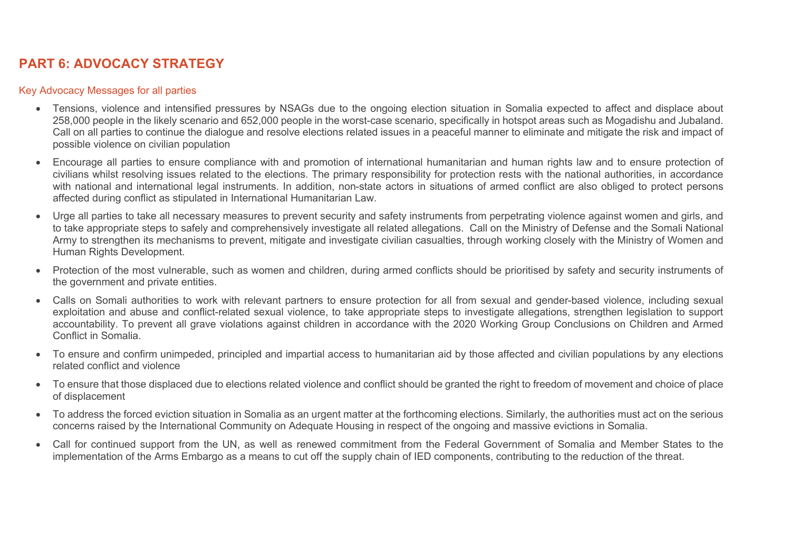# **PART 6: ADVOCACY STRATEGY**

## Key Advocacy Messages for all parties

- Tensions, violence and intensified pressures by NSAGs due to the ongoing election situation in Somalia expected to affect and displace about 258,000 people in the likely scenario and 652,000 people in the worst-case scenario, specifically in hotspot areas such as Mogadishu and Jubaland. Call on all parties to continue the dialogue and resolve elections related issues in a peaceful manner to eliminate and mitigate the risk and impact of possible violence on civilian population
- Encourage all parties to ensure compliance with and promotion of international humanitarian and human rights law and to ensure protection of civilians whilst resolving issues related to the elections. The primary responsibility for protection rests with the national authorities, in accordance with national and international legal instruments. In addition, non-state actors in situations of armed conflict are also obliged to protect persons affected during conflict as stipulated in International Humanitarian Law.
- Urge all parties to take all necessary measures to prevent security and safety instruments from perpetrating violence against women and girls, and to take appropriate steps to safely and comprehensively investigate all related allegations. Call on the Ministry of Defense and the Somali National Army to strengthen its mechanisms to prevent, mitigate and investigate civilian casualties, through working closely with the Ministry of Women and Human Rights Development.
- Protection of the most vulnerable, such as women and children, during armed conflicts should be prioritised by safety and security instruments of the government and private entities.
- Calls on Somali authorities to work with relevant partners to ensure protection for all from sexual and gender-based violence, including sexual exploitation and abuse and conflict-related sexual violence, to take appropriate steps to investigate allegations, strengthen legislation to support accountability. To prevent all grave violations against children in accordance with the 2020 Working Group Conclusions on Children and Armed Conflict in Somalia.
- To ensure and confirm unimpeded, principled and impartial access to humanitarian aid by those affected and civilian populations by any elections related conflict and violence
- To ensure that those displaced due to elections related violence and conflict should be granted the right to freedom of movement and choice of place of displacement
- To address the forced eviction situation in Somalia as an urgent matter at the forthcoming elections. Similarly, the authorities must act on the serious concerns raised by the International Community on Adequate Housing in respect of the ongoing and massive evictions in Somalia.
- Call for continued support from the UN, as well as renewed commitment from the Federal Government of Somalia and Member States to the implementation of the Arms Embargo as a means to cut off the supply chain of IED components, contributing to the reduction of the threat.